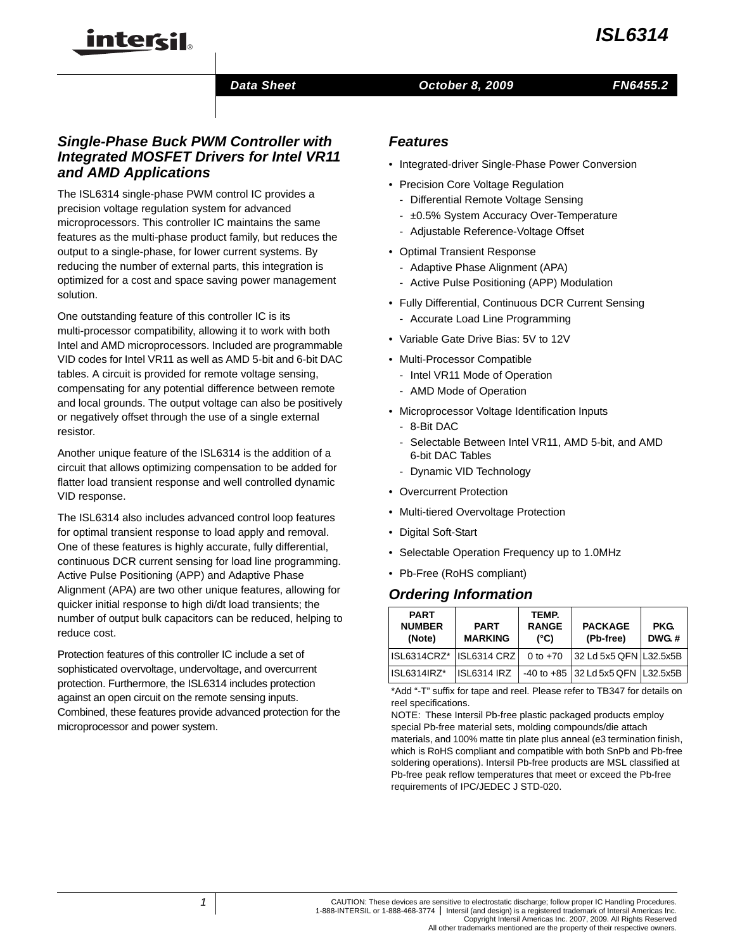#### *Data Sheet*

#### *October 8, 2009 FN6455.2*

## *Single-Phase Buck PWM Controller with Integrated MOSFET Drivers for Intel VR11 and AMD Applications*

intersil

The ISL6314 single-phase PWM control IC provides a precision voltage regulation system for advanced microprocessors. This controller IC maintains the same features as the multi-phase product family, but reduces the output to a single-phase, for lower current systems. By reducing the number of external parts, this integration is optimized for a cost and space saving power management solution.

One outstanding feature of this controller IC is its multi-processor compatibility, allowing it to work with both Intel and AMD microprocessors. Included are programmable VID codes for Intel VR11 as well as AMD 5-bit and 6-bit DAC tables. A circuit is provided for remote voltage sensing, compensating for any potential difference between remote and local grounds. The output voltage can also be positively or negatively offset through the use of a single external resistor.

Another unique feature of the ISL6314 is the addition of a circuit that allows optimizing compensation to be added for flatter load transient response and well controlled dynamic VID response.

The ISL6314 also includes advanced control loop features for optimal transient response to load apply and removal. One of these features is highly accurate, fully differential, continuous DCR current sensing for load line programming. Active Pulse Positioning (APP) and Adaptive Phase Alignment (APA) are two other unique features, allowing for quicker initial response to high di/dt load transients; the number of output bulk capacitors can be reduced, helping to reduce cost.

Protection features of this controller IC include a set of sophisticated overvoltage, undervoltage, and overcurrent protection. Furthermore, the ISL6314 includes protection against an open circuit on the remote sensing inputs. Combined, these features provide advanced protection for the microprocessor and power system.

#### *Features*

- Integrated-driver Single-Phase Power Conversion
- Precision Core Voltage Regulation
	- Differential Remote Voltage Sensing
	- ±0.5% System Accuracy Over-Temperature
	- Adjustable Reference-Voltage Offset
- Optimal Transient Response
	- Adaptive Phase Alignment (APA)
	- Active Pulse Positioning (APP) Modulation
- Fully Differential, Continuous DCR Current Sensing
	- Accurate Load Line Programming
- Variable Gate Drive Bias: 5V to 12V
- Multi-Processor Compatible
	- Intel VR11 Mode of Operation
	- AMD Mode of Operation
- Microprocessor Voltage Identification Inputs
	- 8-Bit DAC
	- Selectable Between Intel VR11, AMD 5-bit, and AMD 6-bit DAC Tables
	- Dynamic VID Technology
- Overcurrent Protection
- Multi-tiered Overvoltage Protection
- Digital Soft-Start
- Selectable Operation Frequency up to 1.0MHz
- Pb-Free (RoHS compliant)

#### *Ordering Information*

| <b>PART</b><br><b>NUMBER</b><br>(Note) | <b>PART</b><br><b>MARKING</b> | TEMP.<br><b>RANGE</b><br>$(^{\circ}C)$ | <b>PACKAGE</b><br>(Pb-free)           | <b>PKG.</b><br>DWG.# |
|----------------------------------------|-------------------------------|----------------------------------------|---------------------------------------|----------------------|
| ISL6314CRZ* ISL6314 CRZ                |                               | 0 to $+70$                             | 32 Ld 5x5 QFN L32.5x5B                |                      |
| ISL6314IRZ*                            | <b>ISL6314 IRZ</b>            |                                        | $-40$ to $+85$ 32 Ld 5x5 QFN L32.5x5B |                      |

[\\*Add "-T" suffix for tape and reel. Please refer to TB347 for details on](http://www.intersil.com/data/tb/tb347.pdf)  reel specifications.

NOTE: These Intersil Pb-free plastic packaged products employ special Pb-free material sets, molding compounds/die attach materials, and 100% matte tin plate plus anneal (e3 termination finish, which is RoHS compliant and compatible with both SnPb and Pb-free soldering operations). Intersil Pb-free products are MSL classified at Pb-free peak reflow temperatures that meet or exceed the Pb-free requirements of IPC/JEDEC J STD-020.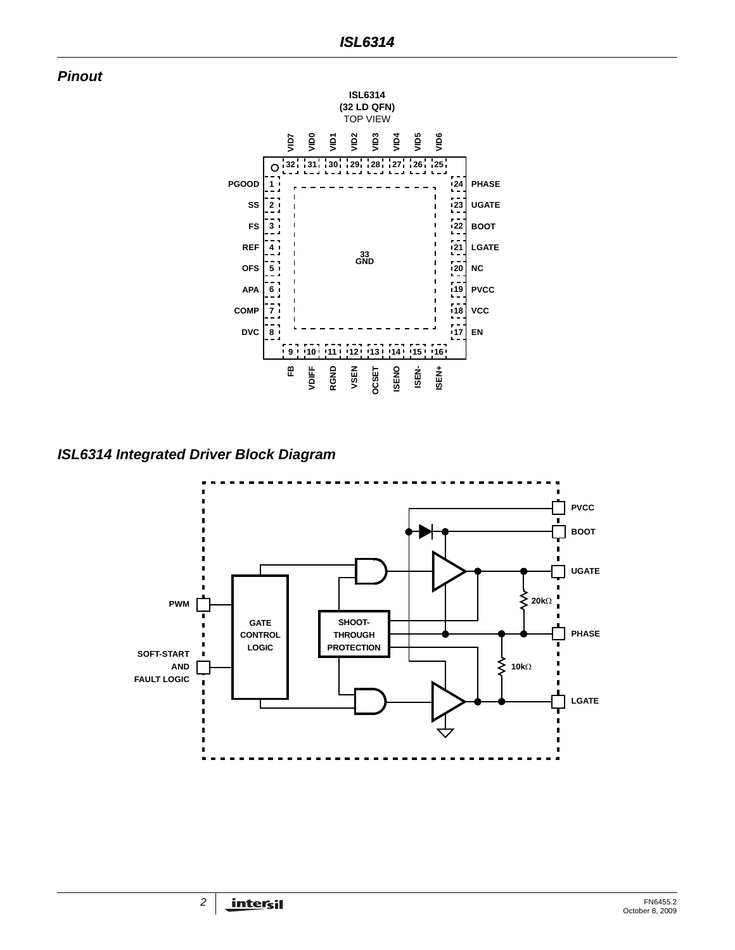



*ISL6314 Integrated Driver Block Diagram*

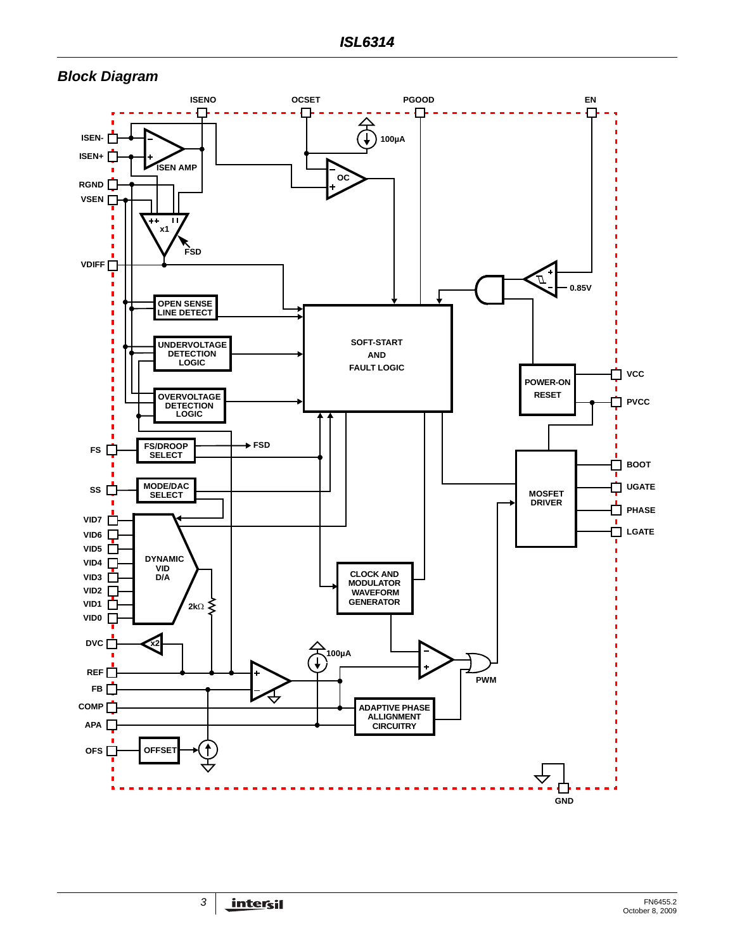## <span id="page-2-0"></span>*Block Diagram*

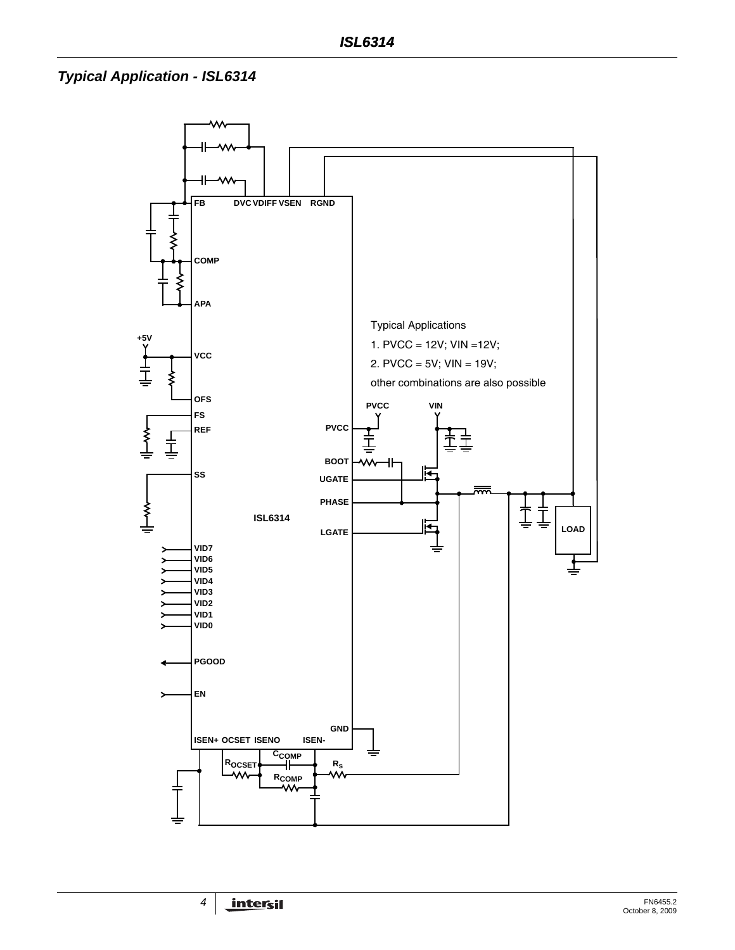# *Typical Application - ISL6314*

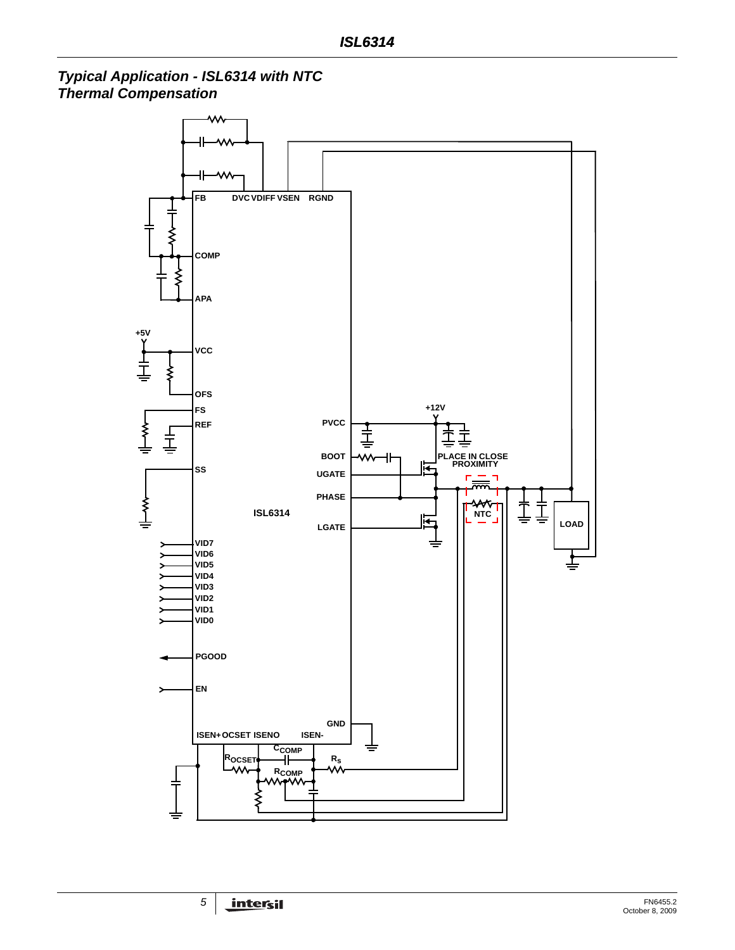*Typical Application - ISL6314 with NTC Thermal Compensation*

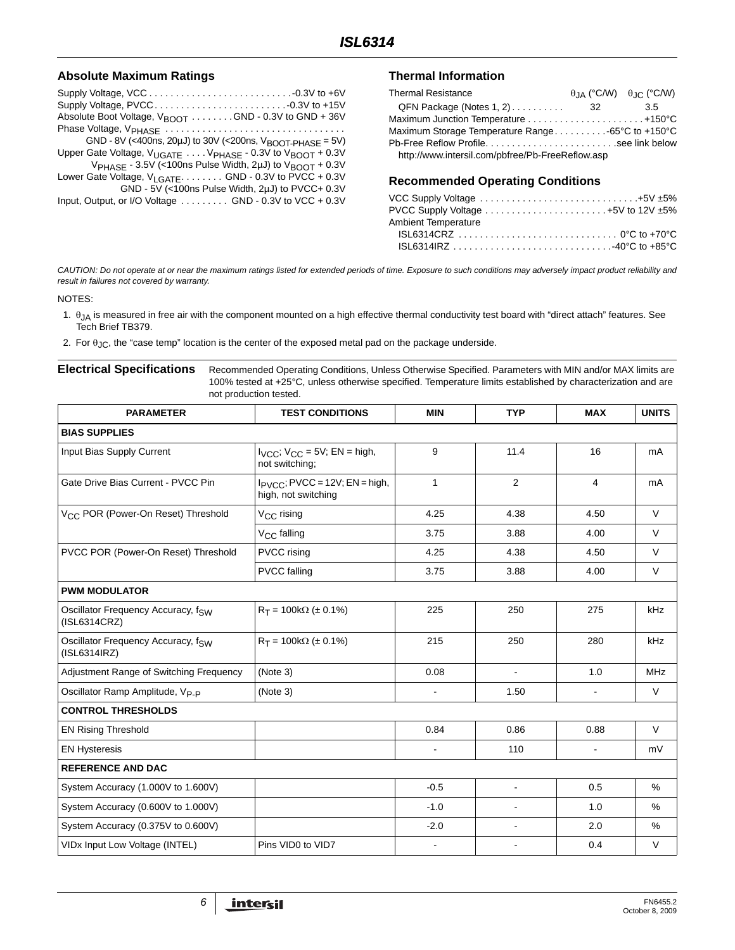#### **Absolute Maximum Ratings**

| Absolute Boot Voltage, $V_{\text{BNOT}}$ GND - 0.3V to GND + 36V                             |
|----------------------------------------------------------------------------------------------|
|                                                                                              |
| GND - 8V (<400ns, 20µJ) to 30V (<200ns, $V_{\text{BOOT-PHASE}} = 5V$ )                       |
| Upper Gate Voltage, V <sub>UGATE</sub> V <sub>PHASE</sub> - 0.3V to V <sub>BOOT</sub> + 0.3V |
| V <sub>PHASE</sub> - 3.5V (<100ns Pulse Width, 2µJ) to V <sub>BOOT</sub> + 0.3V              |
| Lower Gate Voltage, V <sub>LGATE</sub> GND - 0.3V to PVCC + 0.3V                             |
| GND - 5V (<100ns Pulse Width, 2µJ) to PVCC+ 0.3V                                             |
| Input, Output, or I/O Voltage  GND - 0.3V to VCC + 0.3V                                      |

#### **Thermal Information**

| <b>Thermal Resistance</b>                         |      | $\theta$ <sub>JA</sub> (°C/W) $\theta$ <sub>JC</sub> (°C/W) |
|---------------------------------------------------|------|-------------------------------------------------------------|
| $QFN$ Package (Notes 1, 2) $\ldots \ldots \ldots$ | - 32 | 3.5                                                         |
| Maximum Junction Temperature  +150°C              |      |                                                             |
| Maximum Storage Temperature Range -65°C to +150°C |      |                                                             |
|                                                   |      |                                                             |
| http://www.intersil.com/pbfree/Pb-FreeReflow.asp  |      |                                                             |

#### **Recommended Operating Conditions**

| VCC Supply Voltage $\ldots \ldots \ldots \ldots \ldots \ldots \ldots \ldots \ldots \ldots +5V \pm 5\%$ |  |
|--------------------------------------------------------------------------------------------------------|--|
| PVCC Supply Voltage $\ldots \ldots \ldots \ldots \ldots \ldots \ldots +5V$ to 12V $\pm 5\%$            |  |
| Ambient Temperature                                                                                    |  |
|                                                                                                        |  |
|                                                                                                        |  |
|                                                                                                        |  |

*CAUTION: Do not operate at or near the maximum ratings listed for extended periods of time. Exposure to such conditions may adversely impact product reliability and result in failures not covered by warranty.*

NOTES:

- <span id="page-5-0"></span>1.  $\theta_{JA}$  is measured in free air with the component mounted on a high effective thermal conductivity test board with "direct attach" features. See Tech Brief TB379.
- <span id="page-5-1"></span>2. For  $\theta_{JC}$ , the "case temp" location is the center of the exposed metal pad on the package underside.

<span id="page-5-2"></span>**Electrical Specifications** Recommended Operating Conditions, Unless Otherwise Specified. Parameters with MIN and/or MAX limits are 100% tested at +25°C, unless otherwise specified. Temperature limits established by characterization and are not production tested.

| <b>PARAMETER</b>                                   | <b>TEST CONDITIONS</b>                                               | <b>MIN</b>     | <b>TYP</b>     | <b>MAX</b>     | <b>UNITS</b> |
|----------------------------------------------------|----------------------------------------------------------------------|----------------|----------------|----------------|--------------|
| <b>BIAS SUPPLIES</b>                               |                                                                      |                |                |                |              |
| Input Bias Supply Current                          | $V_{\text{CC}}$ ; $V_{\text{CC}}$ = 5V; EN = high,<br>not switching: | 9              | 11.4           | 16             | mA           |
| Gate Drive Bias Current - PVCC Pin                 | $I_{\text{PVCC}}$ ; PVCC = 12V; EN = high,<br>high, not switching    | $\mathbf{1}$   | 2              | 4              | mA           |
| V <sub>CC</sub> POR (Power-On Reset) Threshold     | V <sub>CC</sub> rising                                               | 4.25           | 4.38           | 4.50           | V            |
|                                                    | V <sub>CC</sub> falling                                              | 3.75           | 3.88           | 4.00           | $\vee$       |
| PVCC POR (Power-On Reset) Threshold                | PVCC rising                                                          | 4.25           | 4.38           | 4.50           | $\vee$       |
|                                                    | <b>PVCC</b> falling                                                  | 3.75           | 3.88           | 4.00           | $\vee$       |
| <b>PWM MODULATOR</b>                               |                                                                      |                |                |                |              |
| Oscillator Frequency Accuracy, fsw<br>(ISL6314CRZ) | $R_T = 100k\Omega$ (± 0.1%)                                          | 225            | 250            | 275            | kHz          |
| Oscillator Frequency Accuracy, fsw<br>(ISL6314IRZ) | $R_T = 100k\Omega$ (± 0.1%)                                          | 215            | 250            | 280            | kHz          |
| Adjustment Range of Switching Frequency            | (Note 3)                                                             | 0.08           | $\blacksquare$ | 1.0            | <b>MHz</b>   |
| Oscillator Ramp Amplitude, Vp.p                    | (Note 3)                                                             | $\blacksquare$ | 1.50           | $\blacksquare$ | $\vee$       |
| <b>CONTROL THRESHOLDS</b>                          |                                                                      |                |                |                |              |
| <b>EN Rising Threshold</b>                         |                                                                      | 0.84           | 0.86           | 0.88           | $\vee$       |
| <b>EN Hysteresis</b>                               |                                                                      |                | 110            | $\blacksquare$ | mV           |
| <b>REFERENCE AND DAC</b>                           |                                                                      |                |                |                |              |
| System Accuracy (1.000V to 1.600V)                 |                                                                      | $-0.5$         | L,             | 0.5            | %            |
| System Accuracy (0.600V to 1.000V)                 |                                                                      | $-1.0$         | $\sim$         | 1.0            | %            |
| System Accuracy (0.375V to 0.600V)                 |                                                                      | $-2.0$         | ÷,             | 2.0            | $\%$         |
| VIDx Input Low Voltage (INTEL)                     | Pins VID0 to VID7                                                    |                |                | 0.4            | $\vee$       |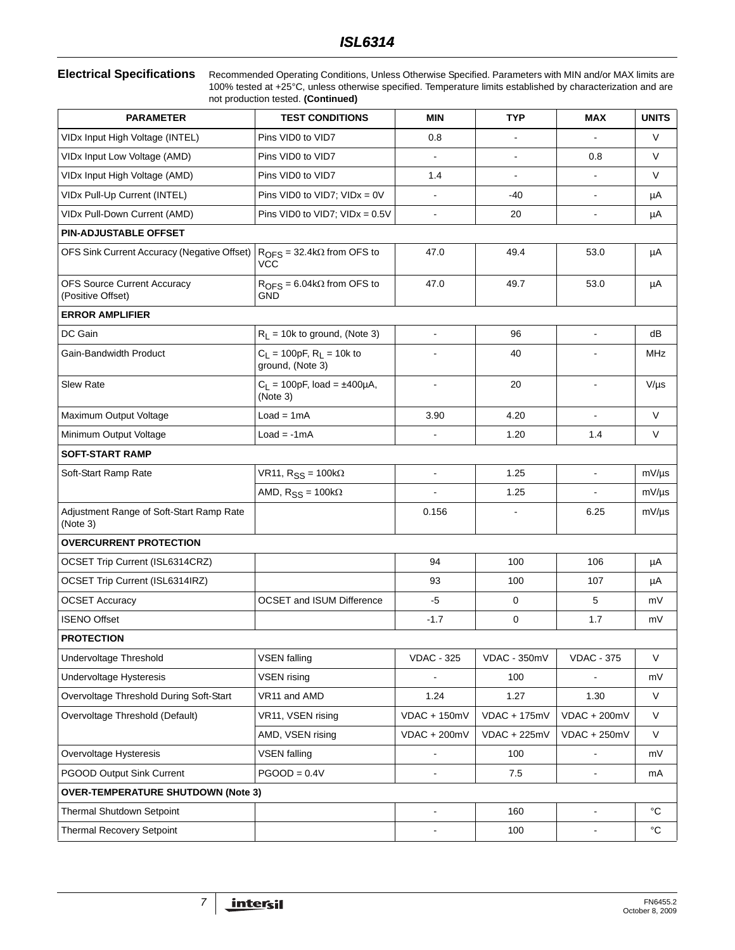**Electrical Specifications** Recommended Operating Conditions, Unless Otherwise Specified. Parameters with MIN and/or MAX limits are 100% tested at +25°C, unless otherwise specified. Temperature limits established by characterization and are not production tested. **(Continued)**

| <b>PARAMETER</b>                                        | <b>TEST CONDITIONS</b>                          | <b>MIN</b>        | <b>TYP</b>     | <b>MAX</b>                   | <b>UNITS</b>      |  |  |
|---------------------------------------------------------|-------------------------------------------------|-------------------|----------------|------------------------------|-------------------|--|--|
| VIDx Input High Voltage (INTEL)                         | Pins VID0 to VID7                               | 0.8               |                |                              | V                 |  |  |
| VIDx Input Low Voltage (AMD)                            | Pins VID0 to VID7                               | $\blacksquare$    | $\blacksquare$ | 0.8                          | V                 |  |  |
| VIDx Input High Voltage (AMD)                           | Pins VID0 to VID7                               | 1.4               | $\overline{a}$ | $\blacksquare$               | V                 |  |  |
| VIDx Pull-Up Current (INTEL)                            | Pins VID0 to VID7; $VIDx = 0V$                  |                   | $-40$          | $\blacksquare$               | μA                |  |  |
| VIDx Pull-Down Current (AMD)                            | Pins VID0 to VID7; $VIDx = 0.5V$                | ÷,                | 20             | $\blacksquare$               | μA                |  |  |
| <b>PIN-ADJUSTABLE OFFSET</b>                            |                                                 |                   |                |                              |                   |  |  |
| OFS Sink Current Accuracy (Negative Offset)             | $ROFS = 32.4k\Omega$ from OFS to<br>VCC         | 47.0              | 49.4           | 53.0                         | μA                |  |  |
| <b>OFS Source Current Accuracy</b><br>(Positive Offset) | $ROFS = 6.04k\Omega$ from OFS to<br><b>GND</b>  | 47.0              | 49.7           | 53.0                         | μA                |  |  |
| <b>ERROR AMPLIFIER</b>                                  |                                                 |                   |                |                              |                   |  |  |
| DC Gain                                                 | $R_L$ = 10k to ground, (Note 3)                 | L.                | 96             | $\blacksquare$               | dB                |  |  |
| Gain-Bandwidth Product                                  | $C_L = 100pF, R_L = 10k$ to<br>ground, (Note 3) |                   | 40             |                              | MHz               |  |  |
| <b>Slew Rate</b>                                        | $C_L = 100pF$ , load = ±400µA,<br>(Note 3)      | -                 | 20             | $\qquad \qquad \blacksquare$ | $V/\mu s$         |  |  |
| Maximum Output Voltage                                  | $Load = 1mA$                                    | 3.90              | 4.20           | $\blacksquare$               | V                 |  |  |
| Minimum Output Voltage                                  | $Load = -1mA$                                   |                   | 1.20           | 1.4                          | V                 |  |  |
| <b>SOFT-START RAMP</b>                                  |                                                 |                   |                |                              |                   |  |  |
| Soft-Start Ramp Rate                                    | VR11, $R_{SS} = 100k\Omega$                     | ÷,                | 1.25           | $\blacksquare$               | $mV/\mu s$        |  |  |
|                                                         | AMD, $R_{SS} = 100k\Omega$                      |                   | 1.25           |                              | $mV/\mu s$        |  |  |
| Adjustment Range of Soft-Start Ramp Rate<br>(Note 3)    |                                                 | 0.156             |                | 6.25                         | $mV/\mu s$        |  |  |
| <b>OVERCURRENT PROTECTION</b>                           |                                                 |                   |                |                              |                   |  |  |
| OCSET Trip Current (ISL6314CRZ)                         |                                                 | 94                | 100            | 106                          | μA                |  |  |
| <b>OCSET Trip Current (ISL6314IRZ)</b>                  |                                                 | 93                | 100            | 107                          | μA                |  |  |
| <b>OCSET Accuracy</b>                                   | <b>OCSET and ISUM Difference</b>                | -5                | 0              | 5                            | mV                |  |  |
| <b>ISENO Offset</b>                                     |                                                 | $-1.7$            | 0              | 1.7                          | mV                |  |  |
| <b>PROTECTION</b>                                       |                                                 |                   |                |                              |                   |  |  |
| Undervoltage Threshold                                  | <b>VSEN falling</b>                             | <b>VDAC - 325</b> | VDAC - 350mV   | <b>VDAC - 375</b>            | V                 |  |  |
| Undervoltage Hysteresis                                 | <b>VSEN</b> rising                              |                   | 100            |                              | mV                |  |  |
| Overvoltage Threshold During Soft-Start                 | VR11 and AMD                                    | 1.24              | 1.27           | 1.30                         | V                 |  |  |
| Overvoltage Threshold (Default)                         | VR11, VSEN rising                               | $VDAC + 150mV$    | VDAC + 175mV   | $VDAC + 200mV$               | V                 |  |  |
|                                                         | AMD, VSEN rising                                | $VDAC + 200mV$    | $VDAC + 225mV$ | $VDAC + 250mV$               | V                 |  |  |
| Overvoltage Hysteresis                                  | <b>VSEN falling</b>                             |                   | 100            |                              | mV                |  |  |
| PGOOD Output Sink Current                               | $PGOOD = 0.4V$                                  |                   | 7.5            |                              | mA                |  |  |
| <b>OVER-TEMPERATURE SHUTDOWN (Note 3)</b>               |                                                 |                   |                |                              |                   |  |  |
| Thermal Shutdown Setpoint                               |                                                 | ÷,                | 160            | $\blacksquare$               | $^{\circ}C$       |  |  |
| <b>Thermal Recovery Setpoint</b>                        |                                                 |                   | 100            | $\overline{a}$               | $^{\circ}{\rm C}$ |  |  |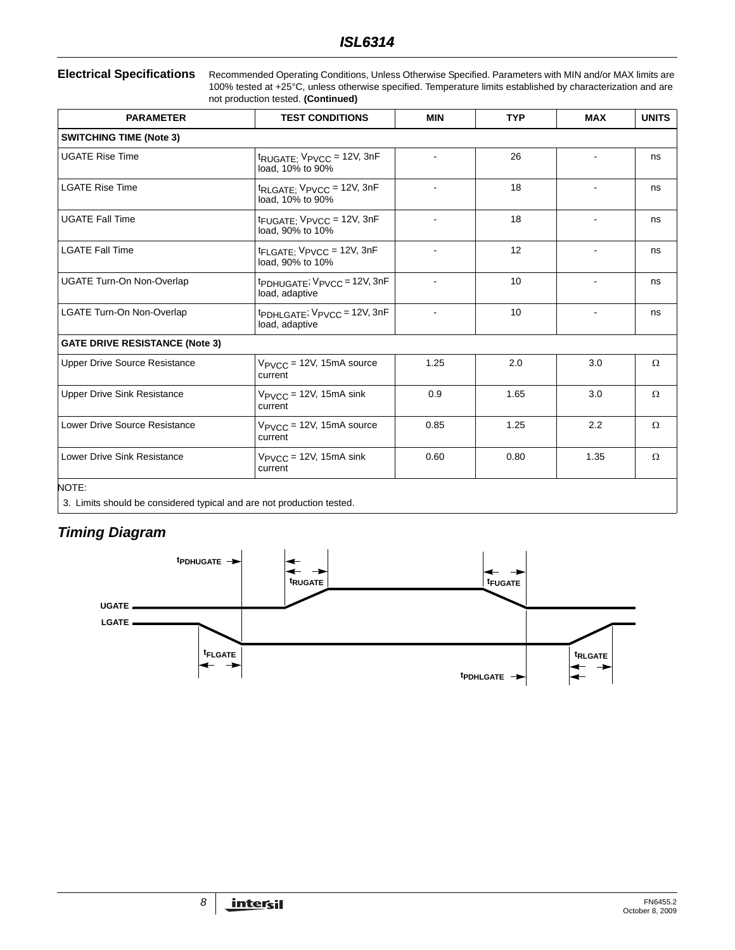**Electrical Specifications** Recommended Operating Conditions, Unless Otherwise Specified. Parameters with MIN and/or MAX limits are 100% tested at +25°C, unless otherwise specified. Temperature limits established by characterization and are not production tested. **(Continued)**

| <b>PARAMETER</b>                      | <b>TEST CONDITIONS</b>                                                  | <b>MIN</b> | <b>TYP</b> | <b>MAX</b> | <b>UNITS</b> |
|---------------------------------------|-------------------------------------------------------------------------|------------|------------|------------|--------------|
| <b>SWITCHING TIME (Note 3)</b>        |                                                                         |            |            |            |              |
| <b>UGATE Rise Time</b>                | $t_{\text{RUGATE}}$ , $V_{\text{PVCC}} = 12V$ , 3nF<br>load, 10% to 90% |            | 26         |            | ns           |
| <b>LGATE Rise Time</b>                | $t_{\text{RLGATE}}$ ; $V_{\text{PVCC}} = 12V$ , 3nF<br>load, 10% to 90% |            | 18         |            | ns           |
| <b>UGATE Fall Time</b>                | $t_{\text{FUGATE}}$ , $V_{\text{PVCC}}$ = 12V, 3nF<br>load, 90% to 10%  |            | 18         |            | ns           |
| <b>LGATE Fall Time</b>                | $t_{\text{FLAGATE}}$ V P V C $c = 12$ V, 3n F<br>load, 90% to 10%       |            | 12         |            | ns           |
| <b>UGATE Turn-On Non-Overlap</b>      | tppHUGATE; VPVCC = 12V, 3nF<br>load, adaptive                           |            | 10         |            | ns           |
| LGATE Turn-On Non-Overlap             | tpDHLGATE; VPVCC = 12V, 3nF<br>load, adaptive                           | ÷          | 10         |            | ns           |
| <b>GATE DRIVE RESISTANCE (Note 3)</b> |                                                                         |            |            |            |              |
| <b>Upper Drive Source Resistance</b>  | $V_{\text{PVCC}}$ = 12V, 15mA source<br>current                         | 1.25       | 2.0        | 3.0        | Ω            |
| <b>Upper Drive Sink Resistance</b>    | $V_{\text{PVCC}}$ = 12V, 15mA sink<br>current                           | 0.9        | 1.65       | 3.0        | Ω            |
| Lower Drive Source Resistance         | $V_{\text{PVCC}}$ = 12V, 15mA source<br>current                         | 0.85       | 1.25       | 2.2        | $\Omega$     |
| Lower Drive Sink Resistance           | $V_{\text{PVCC}}$ = 12V, 15mA sink<br>current                           | 0.60       | 0.80       | 1.35       | $\Omega$     |
| NOTE:                                 |                                                                         |            |            |            |              |

<span id="page-7-0"></span>3. Limits should be considered typical and are not production tested.

# *Timing Diagram*

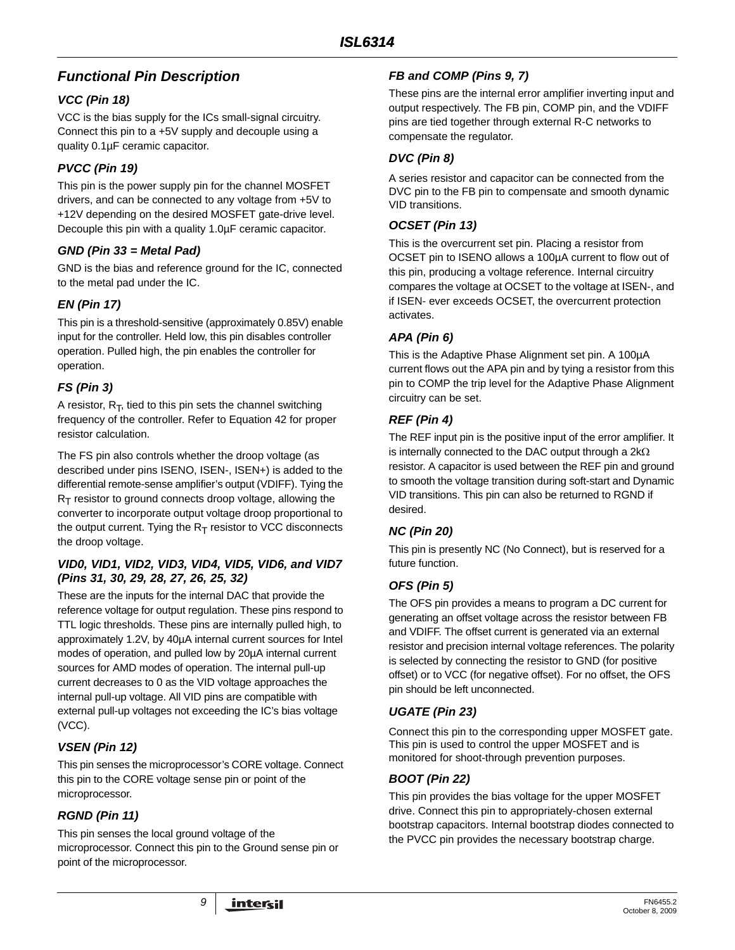# *Functional Pin Description*

## *VCC (Pin 18)*

VCC is the bias supply for the ICs small-signal circuitry. Connect this pin to a +5V supply and decouple using a quality 0.1µF ceramic capacitor.

## *PVCC (Pin 19)*

This pin is the power supply pin for the channel MOSFET drivers, and can be connected to any voltage from +5V to +12V depending on the desired MOSFET gate-drive level. Decouple this pin with a quality 1.0µF ceramic capacitor.

## *GND (Pin 33 = Metal Pad)*

GND is the bias and reference ground for the IC, connected to the metal pad under the IC.

## *EN (Pin 17)*

This pin is a threshold-sensitive (approximately 0.85V) enable input for the controller. Held low, this pin disables controller operation. Pulled high, the pin enables the controller for operation.

## *FS (Pin 3)*

A resistor,  $R_T$ , tied to this pin sets the channel switching frequency of the controller. Refer to Equation [42](#page-28-0) for proper resistor calculation.

The FS pin also controls whether the droop voltage (as described under pins ISENO, ISEN-, ISEN+) is added to the differential remote-sense amplifier's output (VDIFF). Tying the  $R<sub>T</sub>$  resistor to ground connects droop voltage, allowing the converter to incorporate output voltage droop proportional to the output current. Tying the  $R_T$  resistor to VCC disconnects the droop voltage.

#### *VID0, VID1, VID2, VID3, VID4, VID5, VID6, and VID7 (Pins 31, 30, 29, 28, 27, 26, 25, 32)*

These are the inputs for the internal DAC that provide the reference voltage for output regulation. These pins respond to TTL logic thresholds. These pins are internally pulled high, to approximately 1.2V, by 40µA internal current sources for Intel modes of operation, and pulled low by 20µA internal current sources for AMD modes of operation. The internal pull-up current decreases to 0 as the VID voltage approaches the internal pull-up voltage. All VID pins are compatible with external pull-up voltages not exceeding the IC's bias voltage (VCC).

## *VSEN (Pin 12)*

This pin senses the microprocessor's CORE voltage. Connect this pin to the CORE voltage sense pin or point of the microprocessor.

## *RGND (Pin 11)*

This pin senses the local ground voltage of the microprocessor. Connect this pin to the Ground sense pin or point of the microprocessor.

## *FB and COMP (Pins 9, 7)*

These pins are the internal error amplifier inverting input and output respectively. The FB pin, COMP pin, and the VDIFF pins are tied together through external R-C networks to compensate the regulator.

## *DVC (Pin 8)*

A series resistor and capacitor can be connected from the DVC pin to the FB pin to compensate and smooth dynamic VID transitions.

## *OCSET (Pin 13)*

This is the overcurrent set pin. Placing a resistor from OCSET pin to ISENO allows a 100µA current to flow out of this pin, producing a voltage reference. Internal circuitry compares the voltage at OCSET to the voltage at ISEN-, and if ISEN- ever exceeds OCSET, the overcurrent protection activates.

## *APA (Pin 6)*

This is the Adaptive Phase Alignment set pin. A 100µA current flows out the APA pin and by tying a resistor from this pin to COMP the trip level for the Adaptive Phase Alignment circuitry can be set.

## *REF (Pin 4)*

The REF input pin is the positive input of the error amplifier. It is internally connected to the DAC output through a  $2k\Omega$ resistor. A capacitor is used between the REF pin and ground to smooth the voltage transition during soft-start and Dynamic VID transitions. This pin can also be returned to RGND if desired.

## *NC (Pin 20)*

This pin is presently NC (No Connect), but is reserved for a future function.

## *OFS (Pin 5)*

The OFS pin provides a means to program a DC current for generating an offset voltage across the resistor between FB and VDIFF. The offset current is generated via an external resistor and precision internal voltage references. The polarity is selected by connecting the resistor to GND (for positive offset) or to VCC (for negative offset). For no offset, the OFS pin should be left unconnected.

## *UGATE (Pin 23)*

Connect this pin to the corresponding upper MOSFET gate. This pin is used to control the upper MOSFET and is monitored for shoot-through prevention purposes.

## *BOOT (Pin 22)*

This pin provides the bias voltage for the upper MOSFET drive. Connect this pin to appropriately-chosen external bootstrap capacitors. Internal bootstrap diodes connected to the PVCC pin provides the necessary bootstrap charge.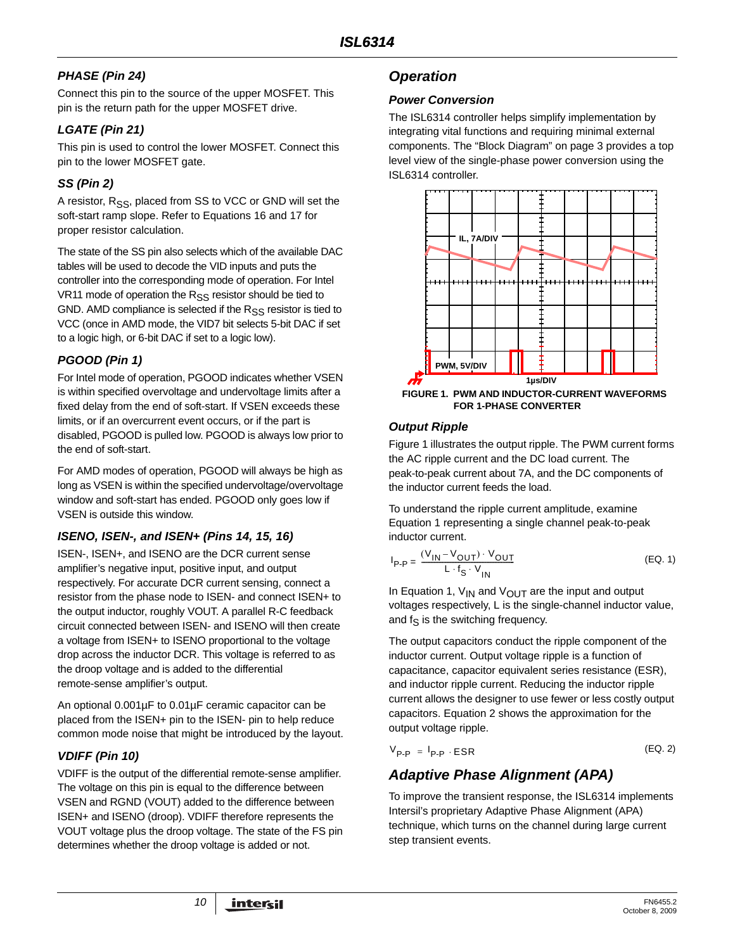# *PHASE (Pin 24)*

Connect this pin to the source of the upper MOSFET. This pin is the return path for the upper MOSFET drive.

# *LGATE (Pin 21)*

This pin is used to control the lower MOSFET. Connect this pin to the lower MOSFET gate.

# *SS (Pin 2)*

A resistor,  $R_{SS}$ , placed from SS to VCC or GND will set the soft-start ramp slope. Refer to Equations [16](#page-20-0) and [17](#page-20-1) for proper resistor calculation.

The state of the SS pin also selects which of the available DAC tables will be used to decode the VID inputs and puts the controller into the corresponding mode of operation. For Intel VR11 mode of operation the R<sub>SS</sub> resistor should be tied to GND. AMD compliance is selected if the  $R_{SS}$  resistor is tied to VCC (once in AMD mode, the VID7 bit selects 5-bit DAC if set to a logic high, or 6-bit DAC if set to a logic low).

## *PGOOD (Pin 1)*

For Intel mode of operation, PGOOD indicates whether VSEN is within specified overvoltage and undervoltage limits after a fixed delay from the end of soft-start. If VSEN exceeds these limits, or if an overcurrent event occurs, or if the part is disabled, PGOOD is pulled low. PGOOD is always low prior to the end of soft-start.

For AMD modes of operation, PGOOD will always be high as long as VSEN is within the specified undervoltage/overvoltage window and soft-start has ended. PGOOD only goes low if VSEN is outside this window.

# *ISENO, ISEN-, and ISEN+ (Pins 14, 15, 16)*

ISEN-, ISEN+, and ISENO are the DCR current sense amplifier's negative input, positive input, and output respectively. For accurate DCR current sensing, connect a resistor from the phase node to ISEN- and connect ISEN+ to the output inductor, roughly VOUT. A parallel R-C feedback circuit connected between ISEN- and ISENO will then create a voltage from ISEN+ to ISENO proportional to the voltage drop across the inductor DCR. This voltage is referred to as the droop voltage and is added to the differential remote-sense amplifier's output.

An optional 0.001µF to 0.01µF ceramic capacitor can be placed from the ISEN+ pin to the ISEN- pin to help reduce common mode noise that might be introduced by the layout.

# *VDIFF (Pin 10)*

VDIFF is the output of the differential remote-sense amplifier. The voltage on this pin is equal to the difference between VSEN and RGND (VOUT) added to the difference between ISEN+ and ISENO (droop). VDIFF therefore represents the VOUT voltage plus the droop voltage. The state of the FS pin determines whether the droop voltage is added or not.

# *Operation*

## *Power Conversion*

The ISL6314 controller helps simplify implementation by integrating vital functions and requiring minimal external components. The ["Block Diagram" on page 3](#page-2-0) provides a top level view of the single-phase power conversion using the ISL6314 controller.



## <span id="page-9-3"></span><span id="page-9-1"></span>*Output Ripple*

Figure [1](#page-9-1) illustrates the output ripple. The PWM current forms the AC ripple current and the DC load current. The peak-to-peak current about 7A, and the DC components of the inductor current feeds the load.

To understand the ripple current amplitude, examine Equation [1](#page-9-2) representing a single channel peak-to-peak inductor current.

<span id="page-9-2"></span>
$$
I_{\text{P-P}} = \frac{(V_{\text{IN}} - V_{\text{OUT}}) \cdot V_{\text{OUT}}}{L \cdot f_{\text{S}} \cdot V_{\text{IN}}}
$$
 (EQ. 1)

In Equation [1,](#page-9-2)  $V_{IN}$  and  $V_{OUT}$  are the input and output voltages respectively, L is the single-channel inductor value, and  $f_S$  is the switching frequency.

The output capacitors conduct the ripple component of the inductor current. Output voltage ripple is a function of capacitance, capacitor equivalent series resistance (ESR), and inductor ripple current. Reducing the inductor ripple current allows the designer to use fewer or less costly output capacitors. Equation [2](#page-9-0) shows the approximation for the output voltage ripple.

<span id="page-9-0"></span>
$$
V_{\mathsf{P-P}} = I_{\mathsf{P-P}} \cdot \mathsf{ESR} \tag{EQ.2}
$$

# *Adaptive Phase Alignment (APA)*

To improve the transient response, the ISL6314 implements Intersil's proprietary Adaptive Phase Alignment (APA) technique, which turns on the channel during large current step transient events.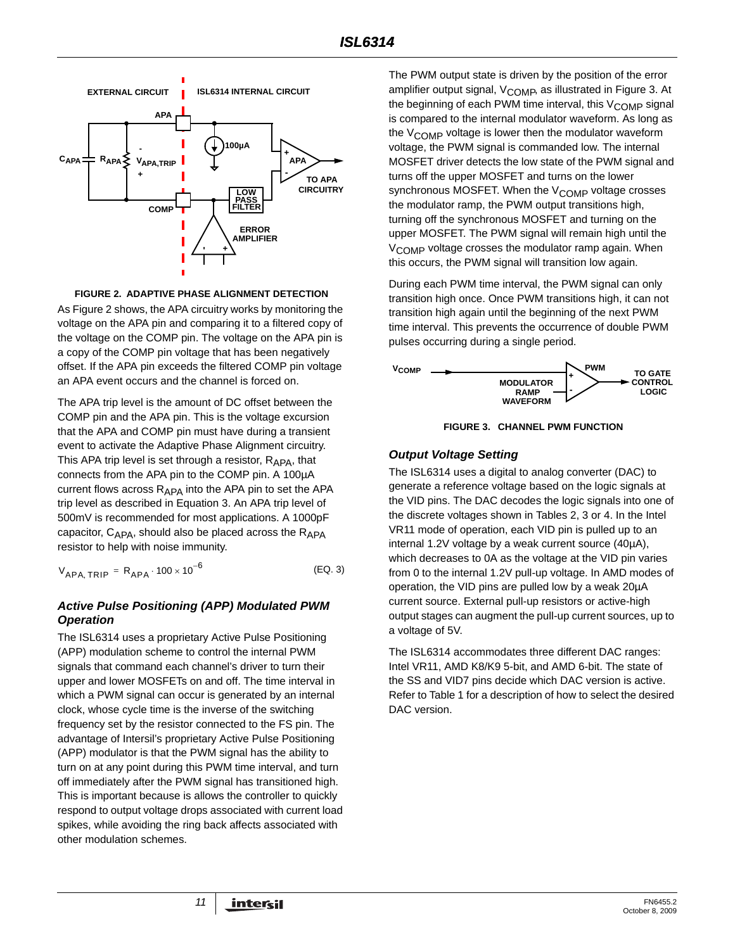

#### **FIGURE 2. ADAPTIVE PHASE ALIGNMENT DETECTION**

<span id="page-10-0"></span>As Figure [2](#page-10-0) shows, the APA circuitry works by monitoring the voltage on the APA pin and comparing it to a filtered copy of the voltage on the COMP pin. The voltage on the APA pin is a copy of the COMP pin voltage that has been negatively offset. If the APA pin exceeds the filtered COMP pin voltage an APA event occurs and the channel is forced on.

The APA trip level is the amount of DC offset between the COMP pin and the APA pin. This is the voltage excursion that the APA and COMP pin must have during a transient event to activate the Adaptive Phase Alignment circuitry. This APA trip level is set through a resistor,  $R_{APA}$ , that connects from the APA pin to the COMP pin. A 100µA current flows across  $R_{APA}$  into the APA pin to set the APA trip level as described in Equation [3.](#page-10-2) An APA trip level of 500mV is recommended for most applications. A 1000pF capacitor,  $C_{APA}$ , should also be placed across the  $R_{APA}$ resistor to help with noise immunity.

$$
V_{APA, TRIP} = R_{APA} \cdot 100 \times 10^{-6}
$$
 (EQ. 3)

#### *Active Pulse Positioning (APP) Modulated PWM Operation*

The ISL6314 uses a proprietary Active Pulse Positioning (APP) modulation scheme to control the internal PWM signals that command each channel's driver to turn their upper and lower MOSFETs on and off. The time interval in which a PWM signal can occur is generated by an internal clock, whose cycle time is the inverse of the switching frequency set by the resistor connected to the FS pin. The advantage of Intersil's proprietary Active Pulse Positioning (APP) modulator is that the PWM signal has the ability to turn on at any point during this PWM time interval, and turn off immediately after the PWM signal has transitioned high. This is important because is allows the controller to quickly respond to output voltage drops associated with current load spikes, while avoiding the ring back affects associated with other modulation schemes.

The PWM output state is driven by the position of the error amplifier output signal, V<sub>COMP</sub>, as illustrated in Figure [3.](#page-10-1) At the beginning of each PWM time interval, this  $V_{\text{COMP}}$  signal is compared to the internal modulator waveform. As long as the V<sub>COMP</sub> voltage is lower then the modulator waveform voltage, the PWM signal is commanded low. The internal MOSFET driver detects the low state of the PWM signal and turns off the upper MOSFET and turns on the lower synchronous MOSFET. When the V<sub>COMP</sub> voltage crosses the modulator ramp, the PWM output transitions high, turning off the synchronous MOSFET and turning on the upper MOSFET. The PWM signal will remain high until the V<sub>COMP</sub> voltage crosses the modulator ramp again. When this occurs, the PWM signal will transition low again.

During each PWM time interval, the PWM signal can only transition high once. Once PWM transitions high, it can not transition high again until the beginning of the next PWM time interval. This prevents the occurrence of double PWM pulses occurring during a single period.





#### <span id="page-10-1"></span>*Output Voltage Setting*

The ISL6314 uses a digital to analog converter (DAC) to generate a reference voltage based on the logic signals at the VID pins. The DAC decodes the logic signals into one of the discrete voltages shown in Tables [2](#page-11-0), [3](#page-13-0) or [4](#page-13-1). In the Intel VR11 mode of operation, each VID pin is pulled up to an internal 1.2V voltage by a weak current source (40µA), which decreases to 0A as the voltage at the VID pin varies from 0 to the internal 1.2V pull-up voltage. In AMD modes of operation, the VID pins are pulled low by a weak 20µA current source. External pull-up resistors or active-high output stages can augment the pull-up current sources, up to a voltage of 5V.

<span id="page-10-2"></span>. The ISL6314 accommodates three different DAC ranges: Intel VR11, AMD K8/K9 5-bit, and AMD 6-bit. The state of the SS and VID7 pins decide which DAC version is active. Refer to Table [1](#page-11-1) for a description of how to select the desired DAC version.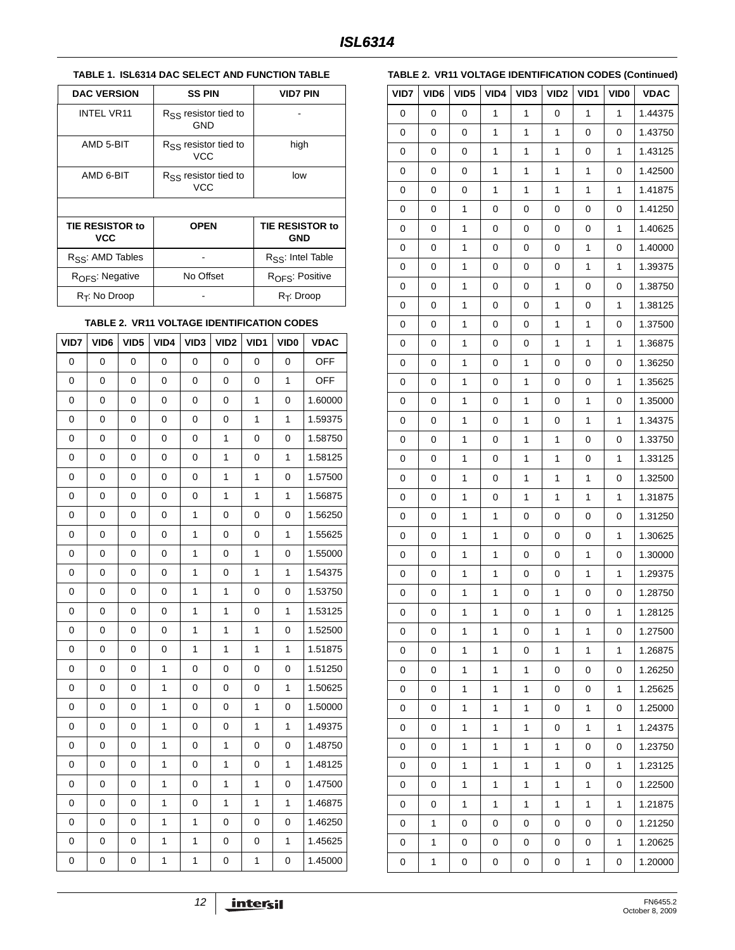## <span id="page-11-1"></span>**TABLE 1. ISL6314 DAC SELECT AND FUNCTION TABLE**

| <b>DAC VERSION</b>            | <b>SS PIN</b>                           | VID7 PIN                             |
|-------------------------------|-----------------------------------------|--------------------------------------|
| <b>INTEL VR11</b>             | $R_{SS}$ resistor tied to<br>GND        |                                      |
| AMD 5-BIT                     | $R_{SS}$ resistor tied to<br><b>VCC</b> | high                                 |
| AMD 6-BIT                     | $R_{SS}$ resistor tied to<br><b>VCC</b> | low                                  |
|                               |                                         |                                      |
| TIE RESISTOR to<br><b>VCC</b> | <b>OPEN</b>                             | <b>TIE RESISTOR to</b><br><b>GND</b> |
| R <sub>SS</sub> : AMD Tables  |                                         | R <sub>SS</sub> : Intel Table        |
| $ROFS$ : Negative             | No Offset                               | R <sub>OFS</sub> : Positive          |
| $R_T$ : No Droop              |                                         | $R_T$ : Droop                        |

#### **TABLE 2. VR11 VOLTAGE IDENTIFICATION CODES**

<span id="page-11-0"></span>

| VID7        | VID6 | VID <sub>5</sub> | VID4         | VID3         | VID <sub>2</sub> | VID1         | VID <sub>0</sub> | <b>VDAC</b> |
|-------------|------|------------------|--------------|--------------|------------------|--------------|------------------|-------------|
| 0           | 0    | 0                | 0            | 0            | 0                | 0            | 0                | <b>OFF</b>  |
| 0           | 0    | 0                | 0            | 0            | 0                | 0            | $\mathbf{1}$     | <b>OFF</b>  |
| $\mathbf 0$ | 0    | 0                | 0            | 0            | 0                | $\mathbf{1}$ | 0                | 1.60000     |
| $\mathbf 0$ | 0    | 0                | 0            | 0            | 0                | $\mathbf{1}$ | $\mathbf{1}$     | 1.59375     |
| $\mathbf 0$ | 0    | 0                | 0            | 0            | $\mathbf{1}$     | $\mathbf 0$  | 0                | 1.58750     |
| 0           | 0    | 0                | 0            | 0            | 1                | 0            | $\mathbf{1}$     | 1.58125     |
| 0           | 0    | 0                | 0            | 0            | 1                | $\mathbf{1}$ | 0                | 1.57500     |
| 0           | 0    | 0                | 0            | 0            | 1                | $\mathbf{1}$ | $\mathbf{1}$     | 1.56875     |
| 0           | 0    | 0                | 0            | 1            | 0                | 0            | 0                | 1.56250     |
| 0           | 0    | 0                | 0            | 1            | 0                | 0            | $\mathbf{1}$     | 1.55625     |
| 0           | 0    | 0                | 0            | 1            | 0                | $\mathbf{1}$ | 0                | 1.55000     |
| $\mathbf 0$ | 0    | 0                | 0            | $\mathbf{1}$ | 0                | $\mathbf{1}$ | $\mathbf{1}$     | 1.54375     |
| 0           | 0    | $\mathbf 0$      | 0            | 1            | 1                | $\mathbf 0$  | 0                | 1.53750     |
| $\mathbf 0$ | 0    | $\mathbf 0$      | 0            | 1            | 1                | 0            | 1                | 1.53125     |
| 0           | 0    | 0                | 0            | $\mathbf{1}$ | $\mathbf{1}$     | $\mathbf{1}$ | 0                | 1.52500     |
| 0           | 0    | 0                | 0            | 1            | 1                | $\mathbf{1}$ | 1                | 1.51875     |
| 0           | 0    | 0                | 1            | 0            | 0                | 0            | 0                | 1.51250     |
| 0           | 0    | 0                | 1            | 0            | 0                | 0            | 1                | 1.50625     |
| 0           | 0    | 0                | 1            | 0            | 0                | $\mathbf{1}$ | 0                | 1.50000     |
| 0           | 0    | 0                | 1            | 0            | 0                | $\mathbf{1}$ | 1                | 1.49375     |
| 0           | 0    | 0                | 1            | 0            | $\mathbf{1}$     | $\mathbf 0$  | 0                | 1.48750     |
| 0           | 0    | $\mathbf 0$      | $\mathbf{1}$ | 0            | $\mathbf{1}$     | 0            | $\mathbf{1}$     | 1.48125     |
| $\mathbf 0$ | 0    | $\mathbf 0$      | $\mathbf{1}$ | 0            | $\mathbf{1}$     | $\mathbf{1}$ | 0                | 1.47500     |
| 0           | 0    | 0                | 1            | 0            | $\mathbf{1}$     | $\mathbf{1}$ | 1                | 1.46875     |
| 0           | 0    | 0                | 1            | 1            | 0                | 0            | 0                | 1.46250     |
| $\mathbf 0$ | 0    | $\pmb{0}$        | $\mathbf 1$  | 1            | 0                | $\pmb{0}$    | 1                | 1.45625     |
| $\mathbf 0$ | 0    | 0                | $\mathbf 1$  | 1            | 0                | $\mathbf{1}$ | 0                | 1.45000     |

## $12$  **intersil**

## **TABLE 2. VR11 VOLTAGE IDENTIFICATION CODES (Continued)**

| VID7        | VID6 | VID <sub>5</sub> | VID4         | VID <sub>3</sub> | VID <sub>2</sub> | VID1         | VID <sub>0</sub> | <b>VDAC</b> |
|-------------|------|------------------|--------------|------------------|------------------|--------------|------------------|-------------|
| 0           | 0    | 0                | 1            | 1                | 0                | 1            | 1                | 1.44375     |
| $\mathbf 0$ | 0    | 0                | 1            | $\mathbf{1}$     | 1                | $\mathbf 0$  | $\mathbf 0$      | 1.43750     |
| 0           | 0    | 0                | 1            | 1                | 1                | 0            | 1                | 1.43125     |
| 0           | 0    | 0                | 1            | 1                | 1                | 1            | 0                | 1.42500     |
| 0           | 0    | 0                | 1            | $\mathbf 1$      | 1                | $\mathbf{1}$ | 1                | 1.41875     |
| 0           | 0    | 1                | 0            | 0                | 0                | 0            | 0                | 1.41250     |
| 0           | 0    | 1                | 0            | 0                | 0                | $\mathbf 0$  | 1                | 1.40625     |
| 0           | 0    | 1                | 0            | 0                | 0                | $\mathbf{1}$ | 0                | 1.40000     |
| 0           | 0    | 1                | 0            | 0                | 0                | 1            | 1                | 1.39375     |
| 0           | 0    | 1                | 0            | 0                | 1                | $\mathbf 0$  | 0                | 1.38750     |
| 0           | 0    | 1                | 0            | 0                | 1                | 0            | 1                | 1.38125     |
| 0           | 0    | 1                | 0            | 0                | 1                | 1            | 0                | 1.37500     |
| 0           | 0    | 1                | 0            | 0                | 1                | 1            | 1                | 1.36875     |
| 0           | 0    | 1                | 0            | $\mathbf 1$      | $\pmb{0}$        | 0            | 0                | 1.36250     |
| 0           | 0    | 1                | 0            | 1                | 0                | 0            | 1                | 1.35625     |
| 0           | 0    | 1                | 0            | 1                | 0                | 1            | 0                | 1.35000     |
| 0           | 0    | 1                | 0            | $\mathbf 1$      | 0                | $\mathbf{1}$ | 1                | 1.34375     |
| 0           | 0    | 1                | 0            | 1                | 1                | 0            | 0                | 1.33750     |
| 0           | 0    | 1                | 0            | 1                | 1                | $\mathbf 0$  | 1                | 1.33125     |
| 0           | 0    | 1                | 0            | $\mathbf 1$      | 1                | $\mathbf{1}$ | 0                | 1.32500     |
| 0           | 0    | 1                | 0            | 1                | 1                | 1            | 1                | 1.31875     |
| 0           | 0    | 1                | 1            | 0                | 0                | $\mathbf 0$  | 0                | 1.31250     |
| 0           | 0    | 1                | 1            | 0                | 0                | 0            | 1                | 1.30625     |
| 0           | 0    | 1                | 1            | 0                | 0                | 1            | 0                | 1.30000     |
| 0           | 0    | 1                | 1            | 0                | 0                | 1            | 1                | 1.29375     |
| 0           | 0    | 1                | 1            | 0                | 1                | 0            | 0                | 1.28750     |
| 0           | 0    | 1                | $\mathbf 1$  | 0                | 1                | 0            | 1                | 1.28125     |
| 0           | 0    | 1                | 1            | 0                | 1                | 1            | 0                | 1.27500     |
| 0           | 0    | 1                | 1            | 0                | $\mathbf{1}$     | 1            | 1                | 1.26875     |
| 0           | 0    | 1                | 1            | 1                | 0                | 0            | 0                | 1.26250     |
| 0           | 0    | 1                | $\mathbf{1}$ | 1                | 0                | 0            | 1                | 1.25625     |
| 0           | 0    | 1                | 1            | 1                | 0                | 1            | 0                | 1.25000     |
| 0           | 0    | 1                | 1            | 1                | 0                | 1            | 1                | 1.24375     |
| 0           | 0    | 1                | $\mathbf{1}$ | 1                | 1                | 0            | 0                | 1.23750     |
| 0           | 0    | 1                | 1            | 1                | $\mathbf{1}$     | 0            | 1                | 1.23125     |
| 0           | 0    | 1                | 1            | 1                | 1                | 1            | 0                | 1.22500     |
| 0           | 0    | 1                | $\mathbf{1}$ | 1                | 1                | 1            | 1                | 1.21875     |
| 0           | 1    | 0                | 0            | 0                | 0                | 0            | 0                | 1.21250     |
| 0           | 1    | 0                | 0            | 0                | 0                | 0            | 1                | 1.20625     |
| 0           | 1    | 0                | 0            | 0                | 0                | 1            | 0                | 1.20000     |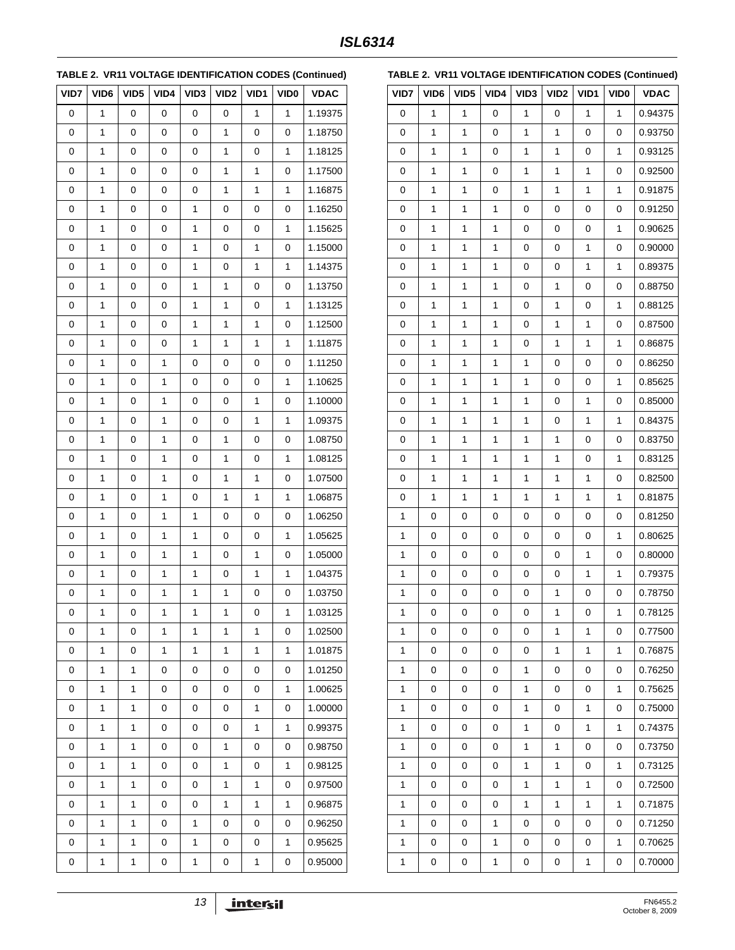**TABLE 2. VR11 VOLTAGE IDENTIFICATION CODES (Continued)**

| VID7 | VID <sub>6</sub> | VID <sub>5</sub> | VID4         | VID3 | VID <sub>2</sub> | VID1         | VID <sub>0</sub> | <b>VDAC</b> |
|------|------------------|------------------|--------------|------|------------------|--------------|------------------|-------------|
| 0    | 1                | 0                | 0            | 0    | 0                | 1            | 1                | 1.19375     |
| 0    | 1                | 0                | 0            | 0    | 1                | 0            | 0                | 1.18750     |
| 0    | 1                | 0                | 0            | 0    | 1                | 0            | 1                | 1.18125     |
| 0    | 1                | 0                | 0            | 0    | 1                | $\mathbf{1}$ | 0                | 1.17500     |
| 0    | 1                | 0                | 0            | 0    | $\mathbf{1}$     | 1            | 1                | 1.16875     |
| 0    | 1                | 0                | 0            | 1    | 0                | 0            | 0                | 1.16250     |
| 0    | 1                | 0                | 0            | 1    | 0                | 0            | 1                | 1.15625     |
| 0    | 1                | 0                | 0            | 1    | 0                | 1            | 0                | 1.15000     |
| 0    | 1                | 0                | 0            | 1    | 0                | 1            | 1                | 1.14375     |
| 0    | 1                | 0                | 0            | 1    | 1                | 0            | 0                | 1.13750     |
| 0    | 1                | 0                | 0            | 1    | 1                | 0            | 1                | 1.13125     |
| 0    | 1                | 0                | 0            | 1    | 1                | 1            | 0                | 1.12500     |
| 0    | 1                | 0                | 0            | 1    | 1                | $\mathbf{1}$ | 1                | 1.11875     |
| 0    | 1                | 0                | 1            | 0    | 0                | 0            | 0                | 1.11250     |
| 0    | 1                | 0                | 1            | 0    | 0                | 0            | 1                | 1.10625     |
| 0    | 1                | 0                | 1            | 0    | 0                | 1            | 0                | 1.10000     |
| 0    | 1                | 0                | 1            | 0    | 0                | 1            | 1                | 1.09375     |
| 0    | 1                | 0                | 1            | 0    | 1                | 0            | 0                | 1.08750     |
| 0    | 1                | 0                | 1            | 0    | 1                | 0            | 1                | 1.08125     |
| 0    | 1                | 0                | 1            | 0    | 1                | 1            | 0                | 1.07500     |
| 0    | 1                | 0                | 1            | 0    | 1                | 1            | 1                | 1.06875     |
| 0    | 1                | 0                | 1            | 1    | 0                | 0            | 0                | 1.06250     |
| 0    | 1                | 0                | 1            | 1    | 0                | 0            | 1                | 1.05625     |
| 0    | 1                | 0                | 1            | 1    | 0                | 1            | 0                | 1.05000     |
| 0    | 1                | 0                | 1            | 1    | 0                | $\mathbf{1}$ | 1                | 1.04375     |
| 0    | 1                | 0                | $\mathbf{1}$ | 1    | 1                | 0            | 0                | 1.03750     |
| 0    | 1                | $\pmb{0}$        | 1            | 1    | 1                | 0            | 1                | 1.03125     |
| 0    | 1                | 0                | 1            | 1    | 1                | 1            | 0                | 1.02500     |
| 0    | 1                | 0                | $\mathbf{1}$ | 1    | 1                | 1            | 1                | 1.01875     |
| 0    | 1                | 1                | 0            | 0    | 0                | 0            | 0                | 1.01250     |
| 0    | 1                | 1                | 0            | 0    | 0                | 0            | 1                | 1.00625     |
| 0    | 1                | 1                | 0            | 0    | 0                | 1            | 0                | 1.00000     |
| 0    | 1                | 1                | 0            | 0    | 0                | 1            | 1                | 0.99375     |
| 0    | 1                | 1                | 0            | 0    | 1                | 0            | 0                | 0.98750     |
| 0    | 1                | 1                | 0            | 0    | 1                | 0            | 1                | 0.98125     |
| 0    | 1                | 1                | 0            | 0    | 1                | 1            | 0                | 0.97500     |
| 0    | 1                | 1                | 0            | 0    | $\mathbf{1}$     | $\mathbf{1}$ | 1                | 0.96875     |
| 0    | 1                | 1                | 0            | 1    | 0                | 0            | 0                | 0.96250     |
| 0    | 1                | 1                | 0            | 1    | 0                | 0            | 1                | 0.95625     |
| 0    | 1                | 1                | 0            | 1    | 0                | 1            | 0                | 0.95000     |

|  | TABLE 2. VR11 VOLTAGE IDENTIFICATION CODES (Continued) |  |
|--|--------------------------------------------------------|--|
|--|--------------------------------------------------------|--|

| VID7         | VID6 | VID <sub>5</sub> | VID4 | VID <sub>3</sub> | VID2         | VID1         | VID <sub>0</sub> | <b>VDAC</b> |
|--------------|------|------------------|------|------------------|--------------|--------------|------------------|-------------|
| 0            | 1    | 1                | 0    | 1                | 0            | 1            | 1                | 0.94375     |
| 0            | 1    | 1                | 0    | 1                | 1            | 0            | 0                | 0.93750     |
| 0            | 1    | 1                | 0    | 1                | 1            | 0            | 1                | 0.93125     |
| 0            | 1    | 1                | 0    | 1                | 1            | $\mathbf{1}$ | 0                | 0.92500     |
| 0            | 1    | 1                | 0    | 1                | 1            | 1            | $\mathbf{1}$     | 0.91875     |
| 0            | 1    | 1                | 1    | 0                | 0            | 0            | 0                | 0.91250     |
| 0            | 1    | 1                | 1    | 0                | 0            | 0            | 1                | 0.90625     |
| 0            | 1    | 1                | 1    | 0                | 0            | 1            | 0                | 0.90000     |
| 0            | 1    | 1                | 1    | 0                | 0            | 1            | 1                | 0.89375     |
| 0            | 1    | 1                | 1    | 0                | 1            | 0            | 0                | 0.88750     |
| 0            | 1    | 1                | 1    | 0                | 1            | 0            | $\mathbf{1}$     | 0.88125     |
| 0            | 1    | 1                | 1    | 0                | 1            | 1            | 0                | 0.87500     |
| 0            | 1    | 1                | 1    | 0                | 1            | $\mathbf{1}$ | 1                | 0.86875     |
| 0            | 1    | 1                | 1    | 1                | 0            | 0            | 0                | 0.86250     |
| 0            | 1    | 1                | 1    | 1                | 0            | 0            | 1                | 0.85625     |
| 0            | 1    | 1                | 1    | 1                | 0            | $\mathbf{1}$ | 0                | 0.85000     |
| 0            | 1    | 1                | 1    | 1                | 0            | 1            | 1                | 0.84375     |
| 0            | 1    | 1                | 1    | 1                | 1            | 0            | 0                | 0.83750     |
| 0            | 1    | 1                | 1    | 1                | 1            | 0            | 1                | 0.83125     |
| 0            | 1    | 1                | 1    | 1                | 1            | 1            | 0                | 0.82500     |
| 0            | 1    | 1                | 1    | 1                | 1            | 1            | 1                | 0.81875     |
| $\mathbf{1}$ | 0    | 0                | 0    | 0                | 0            | 0            | 0                | 0.81250     |
| 1            | 0    | 0                | 0    | 0                | 0            | 0            | $\mathbf{1}$     | 0.80625     |
| 1            | 0    | 0                | 0    | 0                | 0            | 1            | 0                | 0.80000     |
| $\mathbf{1}$ | 0    | 0                | 0    | $\pmb{0}$        | 0            | $\mathbf{1}$ | 1                | 0.79375     |
| 1            | 0    | 0                | 0    | 0                | 1            | 0            | 0                | 0.78750     |
| 1            | 0    | 0                | 0    | 0                | 1            | 0            | 1                | 0.78125     |
| 1            | 0    | 0                | 0    | 0                | 1            | 1            | 0                | 0.77500     |
| 1            | 0    | 0                | 0    | 0                | $\mathbf{1}$ | 1            | 1                | 0.76875     |
| 1            | 0    | 0                | 0    | 1                | 0            | 0            | 0                | 0.76250     |
| 1            | 0    | 0                | 0    | 1                | 0            | 0            | $\mathbf{1}$     | 0.75625     |
| 1            | 0    | 0                | 0    | 1                | 0            | 1            | 0                | 0.75000     |
| 1            | 0    | 0                | 0    | 1                | 0            | 1            | 1                | 0.74375     |
| 1            | 0    | 0                | 0    | 1                | 1            | 0            | 0                | 0.73750     |
| 1            | 0    | 0                | 0    | 1                | $\mathbf{1}$ | 0            | 1                | 0.73125     |
| 1            | 0    | 0                | 0    | 1                | 1            | 1            | 0                | 0.72500     |
| 1            | 0    | 0                | 0    | 1                | 1            | $\mathbf{1}$ | $\mathbf{1}$     | 0.71875     |
| 1            | 0    | 0                | 1    | 0                | 0            | 0            | 0                | 0.71250     |
| 1            | 0    | 0                | 1    | 0                | 0            | 0            | 1                | 0.70625     |
| 1            | 0    | 0                | 1    | 0                | 0            | 1            | 0                | 0.70000     |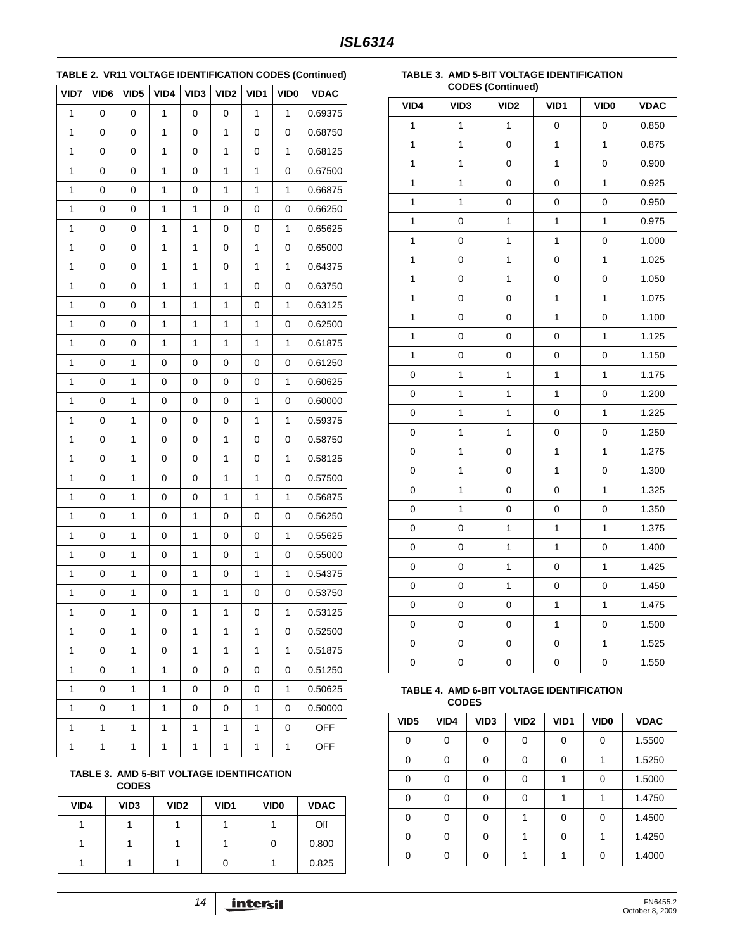## **TABLE 2. VR11 VOLTAGE IDENTIFICATION CODES (Continued)**

| VID7 | VID6 | VID <sub>5</sub> | VID4 | VID3 | VID <sub>2</sub> | VID1         | VID <sub>0</sub> | <b>VDAC</b> |
|------|------|------------------|------|------|------------------|--------------|------------------|-------------|
| 1    | 0    | 0                | 1    | 0    | 0                | 1            | 1                | 0.69375     |
| 1    | 0    | 0                | 1    | 0    | 1                | $\pmb{0}$    | 0                | 0.68750     |
| 1    | 0    | 0                | 1    | 0    | 1                | 0            | 1                | 0.68125     |
| 1    | 0    | 0                | 1    | 0    | 1                | $\mathbf{1}$ | 0                | 0.67500     |
| 1    | 0    | 0                | 1    | 0    | 1                | $\mathbf{1}$ | 1                | 0.66875     |
| 1    | 0    | 0                | 1    | 1    | 0                | 0            | 0                | 0.66250     |
| 1    | 0    | 0                | 1    | 1    | 0                | 0            | 1                | 0.65625     |
| 1    | 0    | 0                | 1    | 1    | 0                | $\mathbf{1}$ | 0                | 0.65000     |
| 1    | 0    | 0                | 1    | 1    | 0                | $\mathbf{1}$ | 1                | 0.64375     |
| 1    | 0    | 0                | 1    | 1    | 1                | 0            | 0                | 0.63750     |
| 1    | 0    | 0                | 1    | 1    | 1                | 0            | 1                | 0.63125     |
| 1    | 0    | 0                | 1    | 1    | 1                | $\mathbf 1$  | 0                | 0.62500     |
| 1    | 0    | 0                | 1    | 1    | 1                | $\mathbf{1}$ | 1                | 0.61875     |
| 1    | 0    | 1                | 0    | 0    | 0                | 0            | 0                | 0.61250     |
| 1    | 0    | 1                | 0    | 0    | 0                | 0            | 1                | 0.60625     |
| 1    | 0    | 1                | 0    | 0    | 0                | $\mathbf{1}$ | 0                | 0.60000     |
| 1    | 0    | 1                | 0    | 0    | 0                | $\mathbf{1}$ | 1                | 0.59375     |
| 1    | 0    | 1                | 0    | 0    | 1                | 0            | 0                | 0.58750     |
| 1    | 0    | 1                | 0    | 0    | 1                | 0            | 1                | 0.58125     |
| 1    | 0    | 1                | 0    | 0    | 1                | $\mathbf{1}$ | 0                | 0.57500     |
| 1    | 0    | 1                | 0    | 0    | 1                | $\mathbf{1}$ | 1                | 0.56875     |
| 1    | 0    | 1                | 0    | 1    | 0                | 0            | 0                | 0.56250     |
| 1    | 0    | 1                | 0    | 1    | 0                | 0            | 1                | 0.55625     |
| 1    | 0    | 1                | 0    | 1    | 0                | $\mathbf{1}$ | 0                | 0.55000     |
| 1    | 0    | 1                | 0    | 1    | 0                | 1            | 1                | 0.54375     |
| 1    | 0    | 1                | 0    | 1    | 1                | 0            | 0                | 0.53750     |
| 1    | 0    | 1                | 0    | 1    | $\mathbf 1$      | 0            | 1                | 0.53125     |
| 1    | 0    | 1                | 0    | 1    | 1                | 1            | 0                | 0.52500     |
| 1    | 0    | 1                | 0    | 1    | 1                | $\mathbf{1}$ | 1                | 0.51875     |
| 1    | 0    | 1                | 1    | 0    | 0                | 0            | 0                | 0.51250     |
| 1    | 0    | 1                | 1    | 0    | 0                | 0            | 1                | 0.50625     |
| 1    | 0    | 1                | 1    | 0    | 0                | 1            | 0                | 0.50000     |
| 1    | 1    | 1                | 1    | 1    | 1                | 1            | 0                | <b>OFF</b>  |
| 1    | 1    | 1                | 1    | 1    | 1                | 1            | 1                | <b>OFF</b>  |

#### <span id="page-13-0"></span>**TABLE 3. AMD 5-BIT VOLTAGE IDENTIFICATION CODES**

| VID4 | VID <sub>3</sub> | VID <sub>2</sub> | VID <sub>1</sub> | VID <sub>0</sub> | <b>VDAC</b> |
|------|------------------|------------------|------------------|------------------|-------------|
|      |                  |                  |                  |                  | Off         |
|      |                  |                  |                  |                  | 0.800       |
|      |                  |                  |                  |                  | 0.825       |

#### **TABLE 3. AMD 5-BIT VOLTAGE IDENTIFICATION CODES (Continued)**

| VID4         | VID <sub>3</sub> | oopeo (oommucu)<br>VID <sub>2</sub> | VID1                    | <b>VIDO</b>  | <b>VDAC</b> |
|--------------|------------------|-------------------------------------|-------------------------|--------------|-------------|
| $\mathbf{1}$ | $\mathbf{1}$     | $\mathbf{1}$                        | 0                       | 0            | 0.850       |
| 1            | $\mathbf{1}$     | 0                                   | $\mathbf{1}$            | 1            | 0.875       |
| 1            | 1                | 0                                   | $\mathbf 1$             | 0            | 0.900       |
| 1            | 1                | 0                                   | 0                       | $\mathbf{1}$ | 0.925       |
| 1            | 1                | 0                                   | 0                       | 0            | 0.950       |
| 1            | 0                | $\mathbf{1}$                        | $\overline{\mathbf{1}}$ | $\mathbf{1}$ | 0.975       |
| $\mathbf{1}$ | 0                | $\mathbf 1$                         | $\mathbf{1}$            | 0            | 1.000       |
| 1            | $\mathsf 0$      | $\mathbf{1}$                        | 0                       | 1            | 1.025       |
| 1            | 0                | $\mathbf 1$                         | 0                       | 0            | 1.050       |
| 1            | 0                | 0                                   | $\mathbf{1}$            | 1            | 1.075       |
| 1            | 0                | 0                                   | $\mathbf{1}$            | 0            | 1.100       |
| 1            | 0                | 0                                   | 0                       | 1            | 1.125       |
| 1            | 0                | 0                                   | 0                       | 0            | 1.150       |
| 0            | $\mathbf{1}$     | $\mathbf{1}$                        | $\mathbf{1}$            | $\mathbf{1}$ | 1.175       |
| 0            | 1                | $\mathbf 1$                         | $\mathbf{1}$            | 0            | 1.200       |
| 0            | 1                | 1                                   | 0                       | $\mathbf{1}$ | 1.225       |
| 0            | 1                | 1                                   | 0                       | 0            | 1.250       |
| 0            | 1                | 0                                   | $\mathbf{1}$            | $\mathbf{1}$ | 1.275       |
| 0            | 1                | $\pmb{0}$                           | $\overline{\mathbf{1}}$ | 0            | 1.300       |
| 0            | 1                | 0                                   | 0                       | 1            | 1.325       |
| 0            | $\mathbf{1}$     | 0                                   | 0                       | 0            | 1.350       |
| 0            | 0                | 1                                   | $\mathbf{1}$            | $\mathbf{1}$ | 1.375       |
| 0            | 0                | 1                                   | 1                       | 0            | 1.400       |
| 0            | 0                | 1                                   | 0                       | 1            | 1.425       |
| 0            | 0                | $\mathbf{1}$                        | 0                       | 0            | 1.450       |
| 0            | 0                | 0                                   | $\mathbf{1}$            | $\mathbf{1}$ | 1.475       |
| 0            | $\pmb{0}$        | 0                                   | $\mathbf{1}$            | 0            | 1.500       |
| 0            | 0                | 0                                   | 0                       | 1            | 1.525       |
| 0            | $\mathsf 0$      | 0                                   | 0                       | 0            | 1.550       |

#### <span id="page-13-1"></span>**TABLE 4. AMD 6-BIT VOLTAGE IDENTIFICATION CODES**

| VID <sub>5</sub> | VID4     | VID <sub>3</sub> | VID <sub>2</sub> | VID <sub>1</sub> | VID <sub>0</sub> | <b>VDAC</b> |
|------------------|----------|------------------|------------------|------------------|------------------|-------------|
| $\Omega$         | 0        | 0                | 0                | 0                | 0                | 1.5500      |
| $\Omega$         | 0        | $\Omega$         | 0                | 0                |                  | 1.5250      |
| $\Omega$         | $\Omega$ | $\Omega$         | 0                |                  | $\Omega$         | 1.5000      |
| 0                | $\Omega$ | ∩                | 0                |                  |                  | 1.4750      |
| $\Omega$         | $\Omega$ | $\Omega$         |                  | $\Omega$         | $\Omega$         | 1.4500      |
| 0                | 0        | $\Omega$         |                  | 0                |                  | 1.4250      |
| $\Omega$         | $\Omega$ | O                |                  |                  | $\Omega$         | 1.4000      |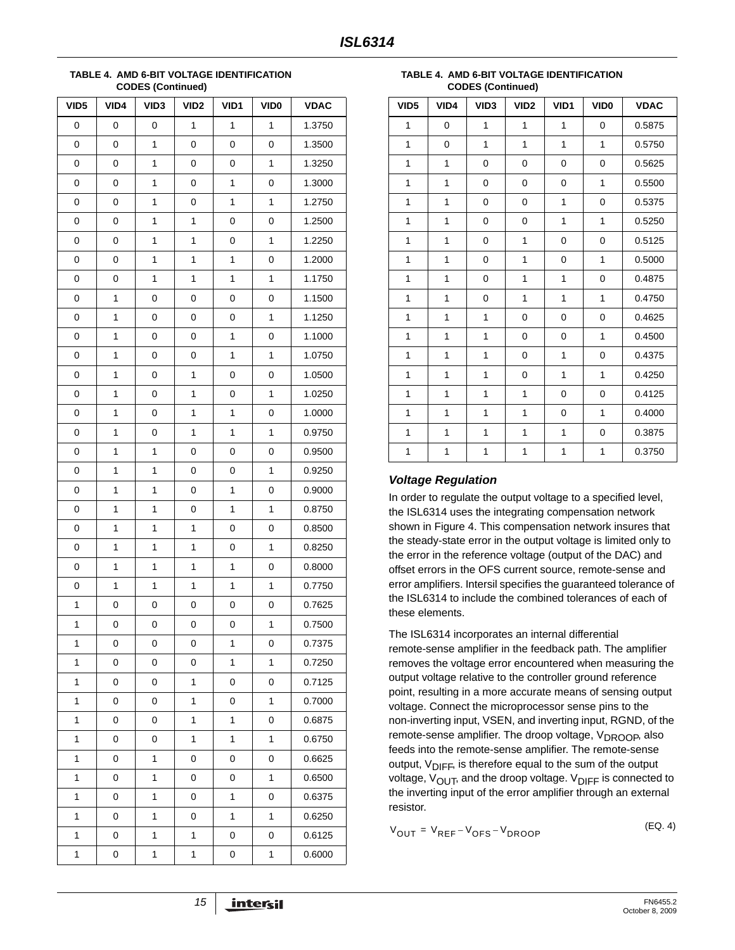**TABLE 4. AMD 6-BIT VOLTAGE IDENTIFICATION CODES (Continued)**

| VID <sub>5</sub> | VID4         | VID <sub>3</sub> | VID <sub>2</sub> | VID1 | VID <sub>0</sub> | <b>VDAC</b> |
|------------------|--------------|------------------|------------------|------|------------------|-------------|
| 0                | $\mathbf 0$  | 0                | $\mathbf{1}$     | 1    | $\mathbf{1}$     | 1.3750      |
| 0                | 0            | $\mathbf{1}$     | 0                | 0    | $\mathbf 0$      | 1.3500      |
| 0                | $\mathbf 0$  | 1                | 0                | 0    | $\mathbf{1}$     | 1.3250      |
| 0                | 0            | 1                | 0                | 1    | 0                | 1.3000      |
| 0                | 0            | $\mathbf 1$      | 0                | 1    | 1                | 1.2750      |
| 0                | $\mathbf 0$  | 1                | $\mathbf{1}$     | 0    | $\mathbf 0$      | 1.2500      |
| 0                | 0            | 1                | $\mathbf{1}$     | 0    | $\mathbf{1}$     | 1.2250      |
| 0                | 0            | $\mathbf 1$      | $\mathbf{1}$     | 1    | 0                | 1.2000      |
| 0                | 0            | 1                | $\mathbf{1}$     | 1    | 1                | 1.1750      |
| 0                | $\mathbf{1}$ | 0                | 0                | 0    | 0                | 1.1500      |
| 0                | 1            | 0                | 0                | 0    | 1                | 1.1250      |
| 0                | 1            | 0                | $\mathbf 0$      | 1    | $\mathbf 0$      | 1.1000      |
| 0                | 1            | 0                | 0                | 1    | $\mathbf{1}$     | 1.0750      |
| 0                | 1            | 0                | $\mathbf{1}$     | 0    | 0                | 1.0500      |
| 0                | 1            | 0                | 1                | 0    | $\mathbf{1}$     | 1.0250      |
| 0                | 1            | 0                | $\mathbf{1}$     | 1    | 0                | 1.0000      |
| 0                | 1            | 0                | $\mathbf{1}$     | 1    | 1                | 0.9750      |
| 0                | 1            | 1                | 0                | 0    | 0                | 0.9500      |
| 0                | 1            | 1                | 0                | 0    | $\mathbf{1}$     | 0.9250      |
| 0                | 1            | 1                | 0                | 1    | 0                | 0.9000      |
| 0                | 1            | 1                | 0                | 1    | $\mathbf{1}$     | 0.8750      |
| 0                | 1            | 1                | $\mathbf{1}$     | 0    | 0                | 0.8500      |
| 0                | 1            | 1                | $\mathbf{1}$     | 0    | 1                | 0.8250      |
| 0                | 1            | 1                | 1                | 1    | 0                | 0.8000      |
| 0                | $\mathbf{1}$ | 1                | $\mathbf{1}$     | 1    | $\mathbf{1}$     | 0.7750      |
| 1                | 0            | 0                | 0                | 0    | 0                | 0.7625      |
| 1                | 0            | 0                | 0                | 0    | 1                | 0.7500      |
| 1                | 0            | 0                | 0                | 1    | 0                | 0.7375      |
| 1                | 0            | 0                | 0                | 1    | 1                | 0.7250      |
| 1                | 0            | 0                | 1                | 0    | 0                | 0.7125      |
| 1                | 0            | 0                | 1                | 0    | $\mathbf{1}$     | 0.7000      |
| 1                | 0            | 0                | 1                | 1    | 0                | 0.6875      |
| 1                | 0            | 0                | 1                | 1    | 1                | 0.6750      |
| 1                | 0            | 1                | 0                | 0    | 0                | 0.6625      |
| 1                | 0            | 1                | 0                | 0    | 1                | 0.6500      |
| 1                | 0            | 1                | 0                | 1    | 0                | 0.6375      |
| 1                | 0            | 1                | 0                | 1    | 1                | 0.6250      |
| 1                | 0            | 1                | 1                | 0    | 0                | 0.6125      |
| 1                | 0            | 1                | 1                | 0    | 1                | 0.6000      |

**TABLE 4. AMD 6-BIT VOLTAGE IDENTIFICATION CODES (Continued)**

| VID <sub>5</sub> | VID4 | VID <sub>3</sub> | VID <sub>2</sub> | VID1        | VID <sub>0</sub> | <b>VDAC</b> |
|------------------|------|------------------|------------------|-------------|------------------|-------------|
| 1                | 0    | 1                | 1                | 1           | 0                | 0.5875      |
| 1                | 0    | 1                | 1                | 1           | 1                | 0.5750      |
| 1                | 1    | 0                | 0                | $\mathbf 0$ | 0                | 0.5625      |
| $\mathbf{1}$     | 1    | 0                | 0                | 0           | 1                | 0.5500      |
| 1                | 1    | 0                | 0                | 1           | 0                | 0.5375      |
| 1                | 1    | 0                | 0                | 1           | 1                | 0.5250      |
| 1                | 1    | 0                | $\mathbf{1}$     | 0           | 0                | 0.5125      |
| 1                | 1    | 0                | $\mathbf{1}$     | 0           | 1                | 0.5000      |
| 1                | 1    | 0                | 1                | 1           | 0                | 0.4875      |
| 1                | 1    | 0                | 1                | 1           | 1                | 0.4750      |
| 1                | 1    | 1                | 0                | 0           | 0                | 0.4625      |
| 1                | 1    | 1                | 0                | 0           | 1                | 0.4500      |
| 1                | 1    | 1                | 0                | 1           | 0                | 0.4375      |
| 1                | 1    | 1                | 0                | 1           | $\mathbf{1}$     | 0.4250      |
| 1                | 1    | 1                | 1                | 0           | 0                | 0.4125      |
| 1                | 1    | 1                | 1                | 0           | 1                | 0.4000      |
| 1                | 1    | 1                | 1                | 1           | 0                | 0.3875      |
| 1                | 1    | 1                | 1                | 1           | 1                | 0.3750      |

#### *Voltage Regulation*

In order to regulate the output voltage to a specified level, the ISL6314 uses the integrating compensation network shown in Figure [4.](#page-15-0) This compensation network insures that the steady-state error in the output voltage is limited only to the error in the reference voltage (output of the DAC) and offset errors in the OFS current source, remote-sense and error amplifiers. Intersil specifies the guaranteed tolerance of the ISL6314 to include the combined tolerances of each of these elements.

The ISL6314 incorporates an internal differential remote-sense amplifier in the feedback path. The amplifier removes the voltage error encountered when measuring the output voltage relative to the controller ground reference point, resulting in a more accurate means of sensing output voltage. Connect the microprocessor sense pins to the non-inverting input, VSEN, and inverting input, RGND, of the remote-sense amplifier. The droop voltage,  $V_{DROOB}$ , also feeds into the remote-sense amplifier. The remote-sense output,  $V_{\text{DIFF}}$ , is therefore equal to the sum of the output voltage,  $V_{\text{OUT}}$ , and the droop voltage.  $V_{\text{DIFF}}$  is connected to the inverting input of the error amplifier through an external resistor.

<span id="page-14-0"></span>
$$
V_{OUT} = V_{REF} - V_{OFS} - V_{DROOP}
$$
 (EQ. 4)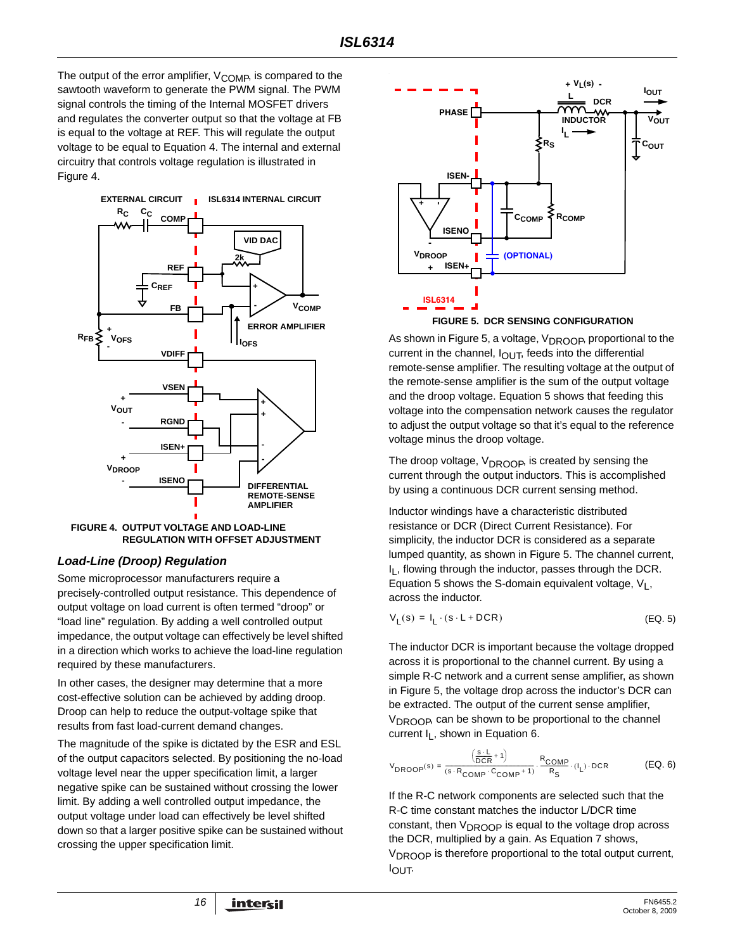The output of the error amplifier,  $V_{\text{COMP}}$ , is compared to the sawtooth waveform to generate the PWM signal. The PWM signal controls the timing of the Internal MOSFET drivers and regulates the converter output so that the voltage at FB is equal to the voltage at REF. This will regulate the output voltage to be equal to Equation [4](#page-14-0). The internal and external circuitry that controls voltage regulation is illustrated in Figure [4.](#page-15-0)



<span id="page-15-0"></span>

#### <span id="page-15-4"></span>*Load-Line (Droop) Regulation*

Some microprocessor manufacturers require a precisely-controlled output resistance. This dependence of output voltage on load current is often termed "droop" or "load line" regulation. By adding a well controlled output impedance, the output voltage can effectively be level shifted in a direction which works to achieve the load-line regulation required by these manufacturers.

In other cases, the designer may determine that a more cost-effective solution can be achieved by adding droop. Droop can help to reduce the output-voltage spike that results from fast load-current demand changes.

The magnitude of the spike is dictated by the ESR and ESL of the output capacitors selected. By positioning the no-load voltage level near the upper specification limit, a larger negative spike can be sustained without crossing the lower limit. By adding a well controlled output impedance, the output voltage under load can effectively be level shifted down so that a larger positive spike can be sustained without crossing the upper specification limit.



<span id="page-15-1"></span>As shown in Figure [5](#page-15-1), a voltage, V<sub>DROOP</sub>, proportional to the current in the channel,  $I_{\text{OUT}}$ , feeds into the differential remote-sense amplifier. The resulting voltage at the output of the remote-sense amplifier is the sum of the output voltage and the droop voltage. Equation [5](#page-15-2) shows that feeding this voltage into the compensation network causes the regulator to adjust the output voltage so that it's equal to the reference voltage minus the droop voltage.

The droop voltage,  $V_{DROOP}$ , is created by sensing the current through the output inductors. This is accomplished by using a continuous DCR current sensing method.

Inductor windings have a characteristic distributed resistance or DCR (Direct Current Resistance). For simplicity, the inductor DCR is considered as a separate lumped quantity, as shown in Figure [5](#page-15-1). The channel current,  $I<sub>l</sub>$ , flowing through the inductor, passes through the DCR. Equation [5](#page-15-2) shows the S-domain equivalent voltage,  $V_L$ , across the inductor.

<span id="page-15-2"></span>
$$
V_L(s) = I_L \cdot (s \cdot L + DCR) \tag{EQ.5}
$$

The inductor DCR is important because the voltage dropped across it is proportional to the channel current. By using a simple R-C network and a current sense amplifier, as shown in Figure [5](#page-15-1), the voltage drop across the inductor's DCR can be extracted. The output of the current sense amplifier, V<sub>DROOP</sub>, can be shown to be proportional to the channel current  $I_L$ , shown in Equation [6](#page-15-3).

<span id="page-15-3"></span>
$$
V_{DROOP}(s) = \frac{\left(\frac{s \cdot L}{DCR} + 1\right)}{(s \cdot R_{COMP} \cdot C_{COMP} + 1)} \cdot \frac{R_{COMP}}{R_S} \cdot (I_L) \cdot DCR
$$
 (EQ. 6)

If the R-C network components are selected such that the R-C time constant matches the inductor L/DCR time constant, then  $V_{DROOP}$  is equal to the voltage drop across the DCR, multiplied by a gain. As Equation [7](#page-16-0) shows,  $V_{\text{DROOP}}$  is therefore proportional to the total output current, IOUT.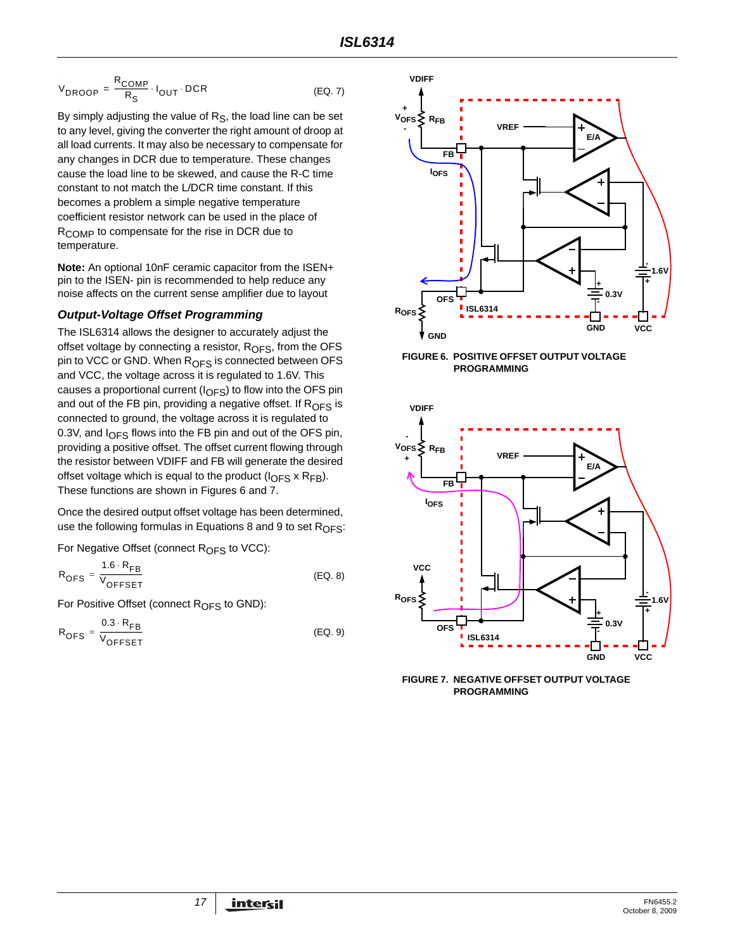$$
V_{DROOP} = \frac{R_{COMP}}{R_S} \cdot I_{OUT} \cdot DCR
$$
 (Eq. 7)

By simply adjusting the value of  $R<sub>S</sub>$ , the load line can be set to any level, giving the converter the right amount of droop at all load currents. It may also be necessary to compensate for any changes in DCR due to temperature. These changes cause the load line to be skewed, and cause the R-C time constant to not match the L/DCR time constant. If this becomes a problem a simple negative temperature coefficient resistor network can be used in the place of R<sub>COMP</sub> to compensate for the rise in DCR due to temperature.

**Note:** An optional 10nF ceramic capacitor from the ISEN+ pin to the ISEN- pin is recommended to help reduce any noise affects on the current sense amplifier due to layout

#### *Output-Voltage Offset Programming*

The ISL6314 allows the designer to accurately adjust the offset voltage by connecting a resistor,  $R_{\text{OFS}}$ , from the OFS pin to VCC or GND. When R<sub>OFS</sub> is connected between OFS and VCC, the voltage across it is regulated to 1.6V. This causes a proportional current ( $I_{\text{OFS}}$ ) to flow into the OFS pin and out of the FB pin, providing a negative offset. If  $R_{\text{OFS}}$  is connected to ground, the voltage across it is regulated to 0.3V, and  $I<sub>OFS</sub>$  flows into the FB pin and out of the OFS pin, providing a positive offset. The offset current flowing through the resistor between VDIFF and FB will generate the desired offset voltage which is equal to the product  $(I_{\text{OFS}} \times R_{\text{FB}})$ . These functions are shown in Figures [6](#page-16-1) and [7.](#page-16-2)

Once the desired output offset voltage has been determined, use the following formulas in Equations [8](#page-16-3) and [9](#page-16-4) to set  $R_{\text{OFS}}$ :

For Negative Offset (connect  $R_{\text{OFS}}$  to VCC):

| $1.6 \cdot R_{FB}$                             |         |
|------------------------------------------------|---------|
| $R_{OFS} = \frac{1}{V}$<br><sup>V</sup> OFFSET | (EQ. 8) |

For Positive Offset (connect  $R_{OFS}$  to GND):

$$
R_{\text{OFS}} = \frac{0.3 \cdot R_{\text{FB}}}{V_{\text{OFFSET}}}
$$
 (EQ. 9)

<span id="page-16-0"></span>

<span id="page-16-1"></span>**FIGURE 6. POSITIVE OFFSET OUTPUT VOLTAGE PROGRAMMING** 



<span id="page-16-4"></span><span id="page-16-3"></span><span id="page-16-2"></span>**FIGURE 7. NEGATIVE OFFSET OUTPUT VOLTAGE PROGRAMMING**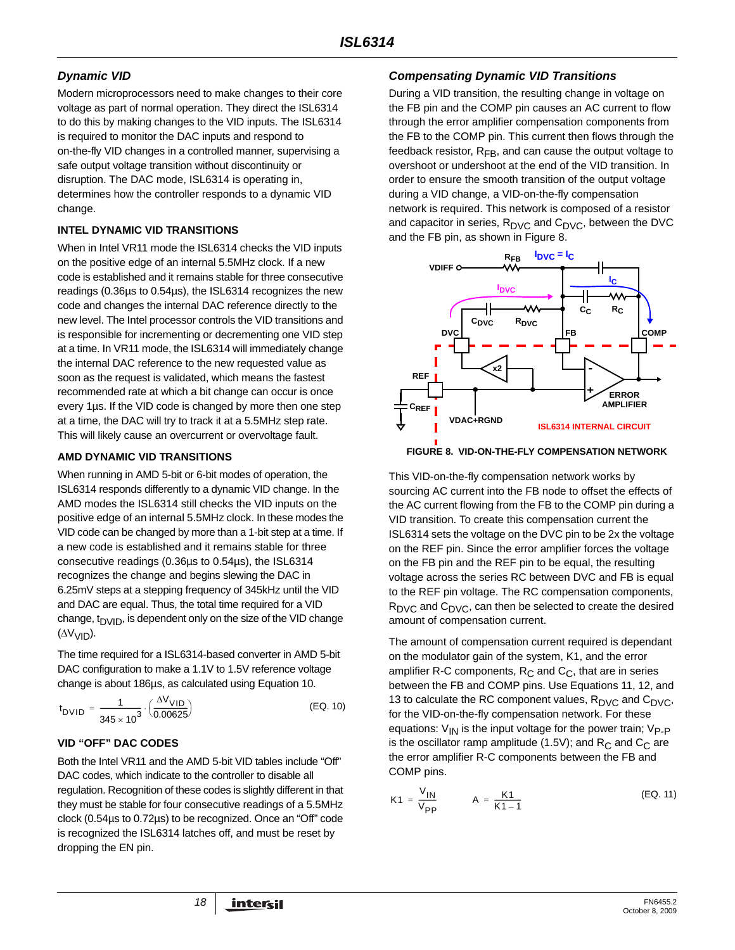## *Dynamic VID*

Modern microprocessors need to make changes to their core voltage as part of normal operation. They direct the ISL6314 to do this by making changes to the VID inputs. The ISL6314 is required to monitor the DAC inputs and respond to on-the-fly VID changes in a controlled manner, supervising a safe output voltage transition without discontinuity or disruption. The DAC mode, ISL6314 is operating in, determines how the controller responds to a dynamic VID change.

#### **INTEL DYNAMIC VID TRANSITIONS**

When in Intel VR11 mode the ISL6314 checks the VID inputs on the positive edge of an internal 5.5MHz clock. If a new code is established and it remains stable for three consecutive readings (0.36µs to 0.54µs), the ISL6314 recognizes the new code and changes the internal DAC reference directly to the new level. The Intel processor controls the VID transitions and is responsible for incrementing or decrementing one VID step at a time. In VR11 mode, the ISL6314 will immediately change the internal DAC reference to the new requested value as soon as the request is validated, which means the fastest recommended rate at which a bit change can occur is once every 1µs. If the VID code is changed by more then one step at a time, the DAC will try to track it at a 5.5MHz step rate. This will likely cause an overcurrent or overvoltage fault.

#### **AMD DYNAMIC VID TRANSITIONS**

When running in AMD 5-bit or 6-bit modes of operation, the ISL6314 responds differently to a dynamic VID change. In the AMD modes the ISL6314 still checks the VID inputs on the positive edge of an internal 5.5MHz clock. In these modes the VID code can be changed by more than a 1-bit step at a time. If a new code is established and it remains stable for three consecutive readings (0.36µs to 0.54µs), the ISL6314 recognizes the change and begins slewing the DAC in 6.25mV steps at a stepping frequency of 345kHz until the VID and DAC are equal. Thus, the total time required for a VID change,  $t<sub>DVID</sub>$ , is dependent only on the size of the VID change (ΔVVID).

The time required for a ISL6314-based converter in AMD 5-bit DAC configuration to make a 1.1V to 1.5V reference voltage change is about 186µs, as calculated using Equation [10.](#page-17-1)

$$
t_{\text{DVID}} = \frac{1}{345 \times 10^3} \cdot \left(\frac{\Delta V_{\text{VID}}}{0.00625}\right) \tag{Eq. 10}
$$

## **VID "OFF" DAC CODES**

Both the Intel VR11 and the AMD 5-bit VID tables include "Off" DAC codes, which indicate to the controller to disable all regulation. Recognition of these codes is slightly different in that they must be stable for four consecutive readings of a 5.5MHz clock (0.54µs to 0.72µs) to be recognized. Once an "Off" code is recognized the ISL6314 latches off, and must be reset by dropping the EN pin.

## *Compensating Dynamic VID Transitions*

During a VID transition, the resulting change in voltage on the FB pin and the COMP pin causes an AC current to flow through the error amplifier compensation components from the FB to the COMP pin. This current then flows through the feedback resistor,  $R_{FB}$ , and can cause the output voltage to overshoot or undershoot at the end of the VID transition. In order to ensure the smooth transition of the output voltage during a VID change, a VID-on-the-fly compensation network is required. This network is composed of a resistor and capacitor in series,  $R_{\text{DVC}}$  and  $C_{\text{DVC}}$ , between the DVC and the FB pin, as shown in Figure [8](#page-17-0).



#### <span id="page-17-0"></span>**FIGURE 8. VID-ON-THE-FLY COMPENSATION NETWORK**

This VID-on-the-fly compensation network works by sourcing AC current into the FB node to offset the effects of the AC current flowing from the FB to the COMP pin during a VID transition. To create this compensation current the ISL6314 sets the voltage on the DVC pin to be 2x the voltage on the REF pin. Since the error amplifier forces the voltage on the FB pin and the REF pin to be equal, the resulting voltage across the series RC between DVC and FB is equal to the REF pin voltage. The RC compensation components, R<sub>DVC</sub> and C<sub>DVC</sub>, can then be selected to create the desired amount of compensation current.

<span id="page-17-1"></span>The amount of compensation current required is dependant on the modulator gain of the system, K1, and the error amplifier R-C components,  $R_C$  and  $C_C$ , that are in series between the FB and COMP pins. Use Equations [11,](#page-17-2) [12,](#page-18-0) and [13](#page-18-1) to calculate the RC component values,  $R_{\text{DVC}}$  and  $C_{\text{DVC}}$ , for the VID-on-the-fly compensation network. For these equations:  $V_{\text{IN}}$  is the input voltage for the power train;  $V_{\text{P-P}}$ is the oscillator ramp amplitude (1.5V); and R<sub>C</sub> and C<sub>C</sub> are the error amplifier R-C components between the FB and COMP pins.

<span id="page-17-2"></span>
$$
K1 = \frac{V_{1N}}{V_{PP}} \qquad A = \frac{K1}{K1 - 1}
$$
 (EQ. 11)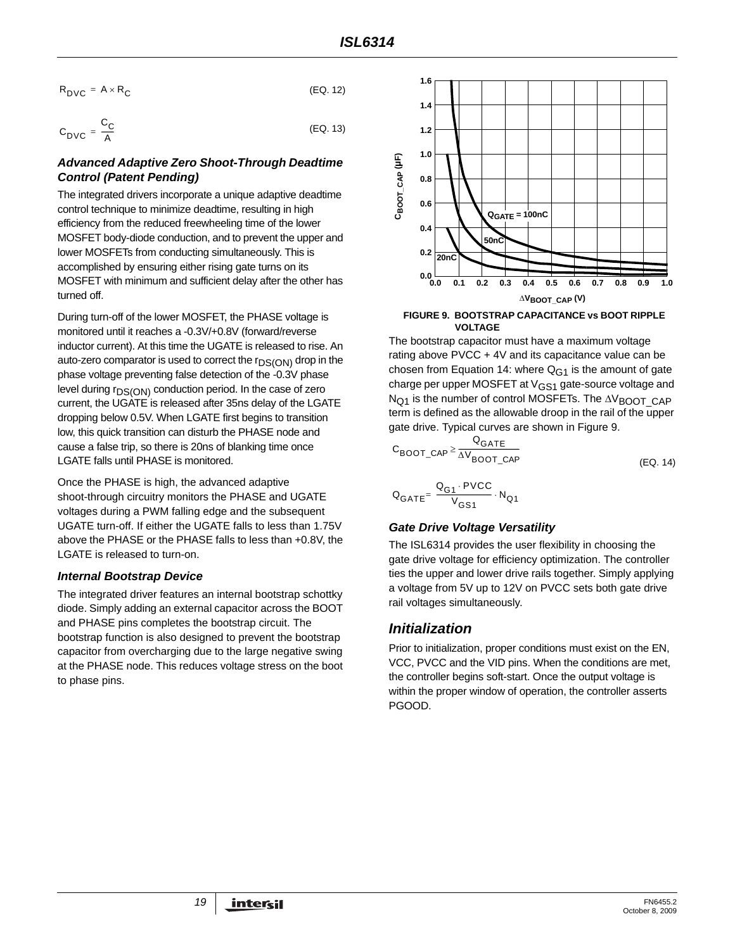$$
R_{\text{DVC}} = A \times R_{\text{C}} \tag{Eq. 12}
$$

$$
C_{\text{DVC}} = \frac{C_{\text{C}}}{A}
$$
 (EQ. 13)

#### *Advanced Adaptive Zero Shoot-Through Deadtime Control (Patent Pending)*

The integrated drivers incorporate a unique adaptive deadtime control technique to minimize deadtime, resulting in high efficiency from the reduced freewheeling time of the lower MOSFET body-diode conduction, and to prevent the upper and lower MOSFETs from conducting simultaneously. This is accomplished by ensuring either rising gate turns on its MOSFET with minimum and sufficient delay after the other has turned off.

During turn-off of the lower MOSFET, the PHASE voltage is monitored until it reaches a -0.3V/+0.8V (forward/reverse inductor current). At this time the UGATE is released to rise. An auto-zero comparator is used to correct the  $r_{DS(ON)}$  drop in the phase voltage preventing false detection of the -0.3V phase level during r<sub>DS(ON)</sub> conduction period. In the case of zero current, the UGATE is released after 35ns delay of the LGATE dropping below 0.5V. When LGATE first begins to transition low, this quick transition can disturb the PHASE node and cause a false trip, so there is 20ns of blanking time once LGATE falls until PHASE is monitored.

Once the PHASE is high, the advanced adaptive shoot-through circuitry monitors the PHASE and UGATE voltages during a PWM falling edge and the subsequent UGATE turn-off. If either the UGATE falls to less than 1.75V above the PHASE or the PHASE falls to less than +0.8V, the LGATE is released to turn-on.

#### *Internal Bootstrap Device*

The integrated driver features an internal bootstrap schottky diode. Simply adding an external capacitor across the BOOT and PHASE pins completes the bootstrap circuit. The bootstrap function is also designed to prevent the bootstrap capacitor from overcharging due to the large negative swing at the PHASE node. This reduces voltage stress on the boot to phase pins.

<span id="page-18-1"></span><span id="page-18-0"></span>

<span id="page-18-2"></span>**FIGURE 9. BOOTSTRAP CAPACITANCE vs BOOT RIPPLE VOLTAGE**

The bootstrap capacitor must have a maximum voltage rating above PVCC + 4V and its capacitance value can be chosen from Equation [14:](#page-18-3) where  $Q_{G1}$  is the amount of gate charge per upper MOSFET at V<sub>GS1</sub> gate-source voltage and N<sub>O1</sub> is the number of control MOSFETs. The ΔV<sub>BOOT</sub> CAP term is defined as the allowable droop in the rail of the upper gate drive. Typical curves are shown in Figure [9](#page-18-2).

<span id="page-18-3"></span>
$$
C_{\text{BOOT}\_\text{CAP}} \ge \frac{Q_{\text{GATE}}}{\Delta V_{\text{BOOT}\_\text{CAP}}}
$$
 (EQ. 14)

$$
\mathbf{Q}_{\text{GATE}} = \frac{\mathbf{Q}_{\text{G1}} \cdot \text{PVCC}}{V_{\text{GS1}}} \cdot \mathbf{N}_{\text{Q1}}
$$

## *Gate Drive Voltage Versatility*

The ISL6314 provides the user flexibility in choosing the gate drive voltage for efficiency optimization. The controller ties the upper and lower drive rails together. Simply applying a voltage from 5V up to 12V on PVCC sets both gate drive rail voltages simultaneously.

## *Initialization*

Prior to initialization, proper conditions must exist on the EN, VCC, PVCC and the VID pins. When the conditions are met, the controller begins soft-start. Once the output voltage is within the proper window of operation, the controller asserts PGOOD.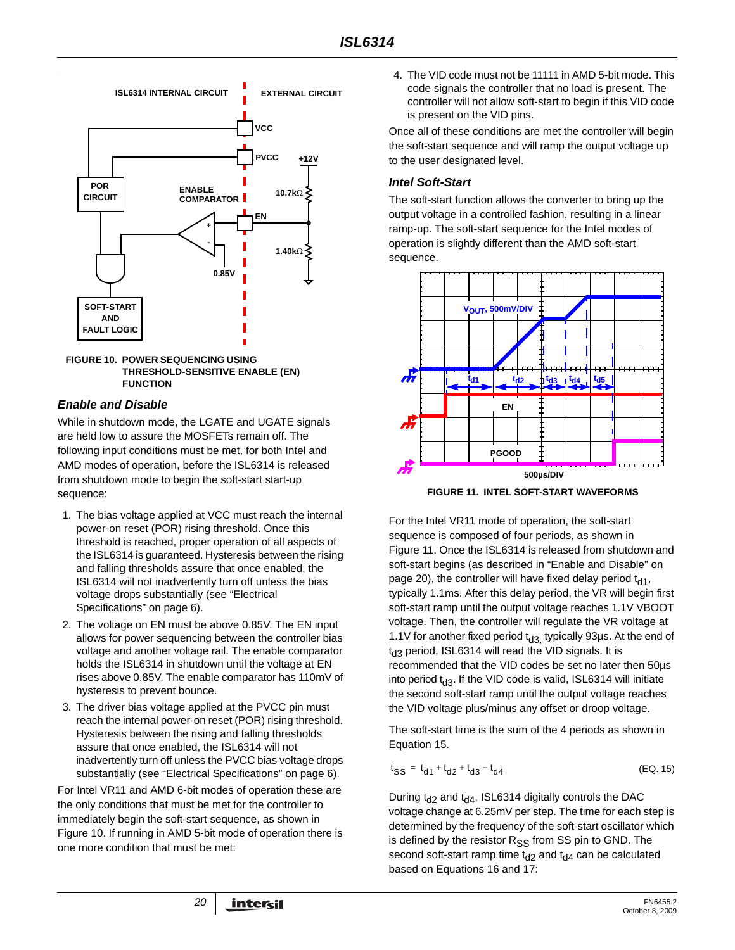

<span id="page-19-0"></span>

#### <span id="page-19-1"></span>*Enable and Disable*

While in shutdown mode, the LGATE and UGATE signals are held low to assure the MOSFETs remain off. The following input conditions must be met, for both Intel and AMD modes of operation, before the ISL6314 is released from shutdown mode to begin the soft-start start-up sequence:

- 1. The bias voltage applied at VCC must reach the internal power-on reset (POR) rising threshold. Once this threshold is reached, proper operation of all aspects of the ISL6314 is guaranteed. Hysteresis between the rising and falling thresholds assure that once enabled, the ISL6314 will not inadvertently turn off unless the bias voltage drops substantially (see "Electrical Specifications" on [page 6\)](#page-5-2).
- 2. The voltage on EN must be above 0.85V. The EN input allows for power sequencing between the controller bias voltage and another voltage rail. The enable comparator holds the ISL6314 in shutdown until the voltage at EN rises above 0.85V. The enable comparator has 110mV of hysteresis to prevent bounce.
- 3. The driver bias voltage applied at the PVCC pin must reach the internal power-on reset (POR) rising threshold. Hysteresis between the rising and falling thresholds assure that once enabled, the ISL6314 will not inadvertently turn off unless the PVCC bias voltage drops substantially (see "Electrical Specifications" on [page 6\)](#page-5-2).

For Intel VR11 and AMD 6-bit modes of operation these are the only conditions that must be met for the controller to immediately begin the soft-start sequence, as shown in Figure [10.](#page-19-0) If running in AMD 5-bit mode of operation there is one more condition that must be met:

4. The VID code must not be 11111 in AMD 5-bit mode. This code signals the controller that no load is present. The controller will not allow soft-start to begin if this VID code is present on the VID pins.

Once all of these conditions are met the controller will begin the soft-start sequence and will ramp the output voltage up to the user designated level.

#### *Intel Soft-Start*

The soft-start function allows the converter to bring up the output voltage in a controlled fashion, resulting in a linear ramp-up. The soft-start sequence for the Intel modes of operation is slightly different than the AMD soft-start sequence.



**FIGURE 11. INTEL SOFT-START WAVEFORMS**

<span id="page-19-2"></span>For the Intel VR11 mode of operation, the soft-start sequence is composed of four periods, as shown in Figure [11](#page-19-2). Once the ISL6314 is released from shutdown and soft-start begins (as described in ["Enable and Disable" on](#page-19-1)  [page 20](#page-19-1)), the controller will have fixed delay period  $t_{d1}$ , typically 1.1ms. After this delay period, the VR will begin first soft-start ramp until the output voltage reaches 1.1V VBOOT voltage. Then, the controller will regulate the VR voltage at 1.1V for another fixed period  $t_{d3}$ , typically 93µs. At the end of  $t<sub>d3</sub>$  period, ISL6314 will read the VID signals. It is recommended that the VID codes be set no later then 50µs into period  $t_{d3}$ . If the VID code is valid, ISL6314 will initiate the second soft-start ramp until the output voltage reaches the VID voltage plus/minus any offset or droop voltage.

The soft-start time is the sum of the 4 periods as shown in Equation [15.](#page-19-3)

<span id="page-19-3"></span>
$$
t_{SS} = t_{d1} + t_{d2} + t_{d3} + t_{d4}
$$
 (EQ. 15)

During  $t_{d2}$  and  $t_{d4}$ , ISL6314 digitally controls the DAC voltage change at 6.25mV per step. The time for each step is determined by the frequency of the soft-start oscillator which is defined by the resistor  $R_{SS}$  from SS pin to GND. The second soft-start ramp time  $t_{d2}$  and  $t_{d4}$  can be calculated based on Equations [16](#page-20-0) and [17:](#page-20-1)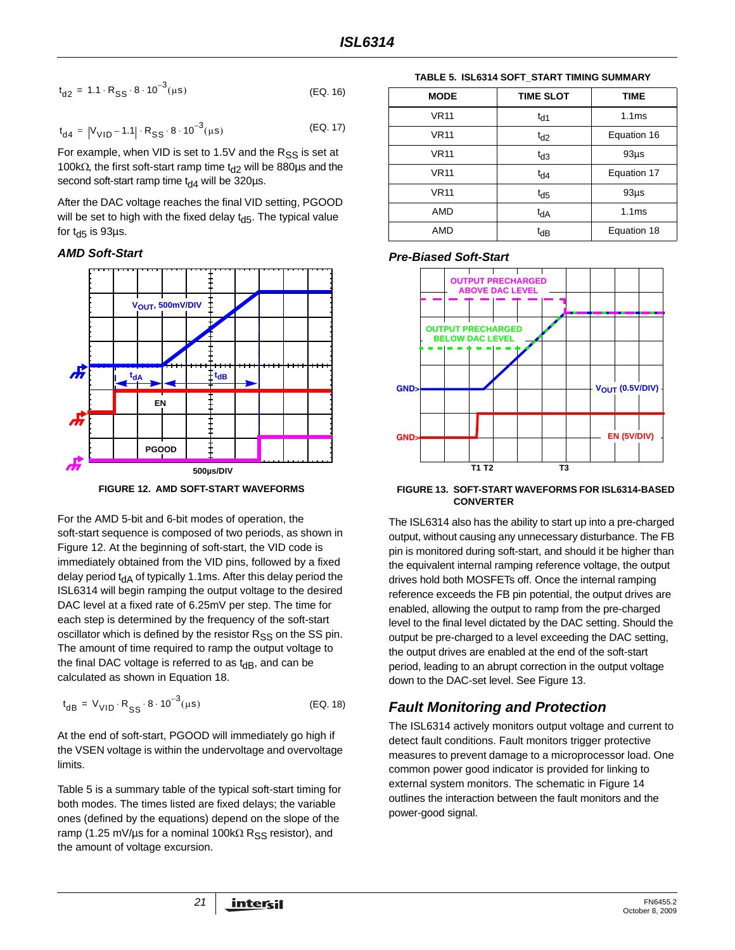$$
t_{d2} = 1.1 \cdot R_{SS} \cdot 8 \cdot 10^{-3} (\mu s) \tag{Eq. 16}
$$

$$
t_{d4} = |V_{VID} - 1.1| \cdot R_{SS} \cdot 8 \cdot 10^{-3} (\mu s)
$$
 (EQ. 17)

For example, when VID is set to 1.5V and the  $R_{SS}$  is set at 100kΩ, the first soft-start ramp time t<sub>d2</sub> will be 880µs and the second soft-start ramp time  $t_{d4}$  will be 320µs.

After the DAC voltage reaches the final VID setting, PGOOD will be set to high with the fixed delay  $t_{d5}$ . The typical value for  $t_{d5}$  is 93µs.

#### *AMD Soft-Start*



**FIGURE 12. AMD SOFT-START WAVEFORMS**

<span id="page-20-4"></span>For the AMD 5-bit and 6-bit modes of operation, the soft-start sequence is composed of two periods, as shown in Figure [12](#page-20-4). At the beginning of soft-start, the VID code is immediately obtained from the VID pins, followed by a fixed delay period  $t_{dA}$  of typically 1.1ms. After this delay period the ISL6314 will begin ramping the output voltage to the desired DAC level at a fixed rate of 6.25mV per step. The time for each step is determined by the frequency of the soft-start oscillator which is defined by the resistor  $R_{SS}$  on the SS pin. The amount of time required to ramp the output voltage to the final DAC voltage is referred to as  $t_{dB}$ , and can be calculated as shown in Equation [18.](#page-20-3)

$$
t_{dB} = V_{VID} \cdot R_{SS} \cdot 8 \cdot 10^{-3} (\mu s)
$$
 (EQ. 18)

At the end of soft-start, PGOOD will immediately go high if the VSEN voltage is within the undervoltage and overvoltage limits.

Table [5](#page-20-2) is a summary table of the typical soft-start timing for both modes. The times listed are fixed delays; the variable ones (defined by the equations) depend on the slope of the ramp (1.25 mV/µs for a nominal 100k $\Omega$  R<sub>SS</sub> resistor), and the amount of voltage excursion.

**TABLE 5. ISL6314 SOFT\_START TIMING SUMMARY**

<span id="page-20-2"></span><span id="page-20-1"></span><span id="page-20-0"></span>

| <b>MODE</b> | <b>TIME SLOT</b> | <b>TIME</b>       |
|-------------|------------------|-------------------|
| <b>VR11</b> | $t_{d1}$         | 1.1 <sub>ms</sub> |
| <b>VR11</b> | $t_{d2}$         | Equation 16       |
| <b>VR11</b> | $t_{d3}$         | $93\mu$ s         |
| <b>VR11</b> | $t_{d4}$         | Equation 17       |
| <b>VR11</b> | $t_{d5}$         | $93\mu$ s         |
| AMD         | $t_{dA}$         | 1.1 <sub>ms</sub> |
| AMD         | tdB              | Equation 18       |

#### *Pre-Biased Soft-Start*



#### <span id="page-20-5"></span>**FIGURE 13. SOFT-START WAVEFORMS FOR ISL6314-BASED CONVERTER**

The ISL6314 also has the ability to start up into a pre-charged output, without causing any unnecessary disturbance. The FB pin is monitored during soft-start, and should it be higher than the equivalent internal ramping reference voltage, the output drives hold both MOSFETs off. Once the internal ramping reference exceeds the FB pin potential, the output drives are enabled, allowing the output to ramp from the pre-charged level to the final level dictated by the DAC setting. Should the output be pre-charged to a level exceeding the DAC setting, the output drives are enabled at the end of the soft-start period, leading to an abrupt correction in the output voltage down to the DAC-set level. See Figure [13.](#page-20-5)

# <span id="page-20-3"></span>*Fault Monitoring and Protection*

The ISL6314 actively monitors output voltage and current to detect fault conditions. Fault monitors trigger protective measures to prevent damage to a microprocessor load. One common power good indicator is provided for linking to external system monitors. The schematic in Figure [14](#page-21-0) outlines the interaction between the fault monitors and the power-good signal.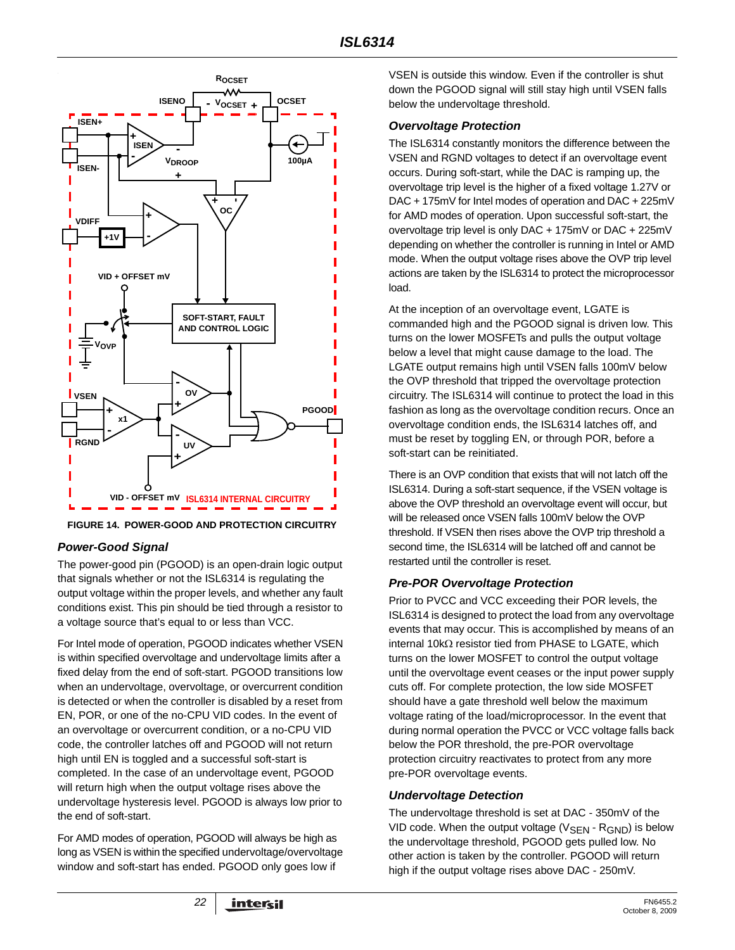

<span id="page-21-0"></span>**FIGURE 14. POWER-GOOD AND PROTECTION CIRCUITRY**

## *Power-Good Signal*

The power-good pin (PGOOD) is an open-drain logic output that signals whether or not the ISL6314 is regulating the output voltage within the proper levels, and whether any fault conditions exist. This pin should be tied through a resistor to a voltage source that's equal to or less than VCC.

For Intel mode of operation, PGOOD indicates whether VSEN is within specified overvoltage and undervoltage limits after a fixed delay from the end of soft-start. PGOOD transitions low when an undervoltage, overvoltage, or overcurrent condition is detected or when the controller is disabled by a reset from EN, POR, or one of the no-CPU VID codes. In the event of an overvoltage or overcurrent condition, or a no-CPU VID code, the controller latches off and PGOOD will not return high until EN is toggled and a successful soft-start is completed. In the case of an undervoltage event, PGOOD will return high when the output voltage rises above the undervoltage hysteresis level. PGOOD is always low prior to the end of soft-start.

For AMD modes of operation, PGOOD will always be high as long as VSEN is within the specified undervoltage/overvoltage window and soft-start has ended. PGOOD only goes low if

VSEN is outside this window. Even if the controller is shut down the PGOOD signal will still stay high until VSEN falls below the undervoltage threshold.

#### *Overvoltage Protection*

The ISL6314 constantly monitors the difference between the VSEN and RGND voltages to detect if an overvoltage event occurs. During soft-start, while the DAC is ramping up, the overvoltage trip level is the higher of a fixed voltage 1.27V or DAC + 175mV for Intel modes of operation and DAC + 225mV for AMD modes of operation. Upon successful soft-start, the overvoltage trip level is only DAC + 175mV or DAC + 225mV depending on whether the controller is running in Intel or AMD mode. When the output voltage rises above the OVP trip level actions are taken by the ISL6314 to protect the microprocessor load.

At the inception of an overvoltage event, LGATE is commanded high and the PGOOD signal is driven low. This turns on the lower MOSFETs and pulls the output voltage below a level that might cause damage to the load. The LGATE output remains high until VSEN falls 100mV below the OVP threshold that tripped the overvoltage protection circuitry. The ISL6314 will continue to protect the load in this fashion as long as the overvoltage condition recurs. Once an overvoltage condition ends, the ISL6314 latches off, and must be reset by toggling EN, or through POR, before a soft-start can be reinitiated.

There is an OVP condition that exists that will not latch off the ISL6314. During a soft-start sequence, if the VSEN voltage is above the OVP threshold an overvoltage event will occur, but will be released once VSEN falls 100mV below the OVP threshold. If VSEN then rises above the OVP trip threshold a second time, the ISL6314 will be latched off and cannot be restarted until the controller is reset.

## *Pre-POR Overvoltage Protection*

Prior to PVCC and VCC exceeding their POR levels, the ISL6314 is designed to protect the load from any overvoltage events that may occur. This is accomplished by means of an internal 10kΩ resistor tied from PHASE to LGATE, which turns on the lower MOSFET to control the output voltage until the overvoltage event ceases or the input power supply cuts off. For complete protection, the low side MOSFET should have a gate threshold well below the maximum voltage rating of the load/microprocessor. In the event that during normal operation the PVCC or VCC voltage falls back below the POR threshold, the pre-POR overvoltage protection circuitry reactivates to protect from any more pre-POR overvoltage events.

## *Undervoltage Detection*

The undervoltage threshold is set at DAC - 350mV of the VID code. When the output voltage  $(V_{\rm SFN} \cdot R_{\rm GND})$  is below the undervoltage threshold, PGOOD gets pulled low. No other action is taken by the controller. PGOOD will return high if the output voltage rises above DAC - 250mV.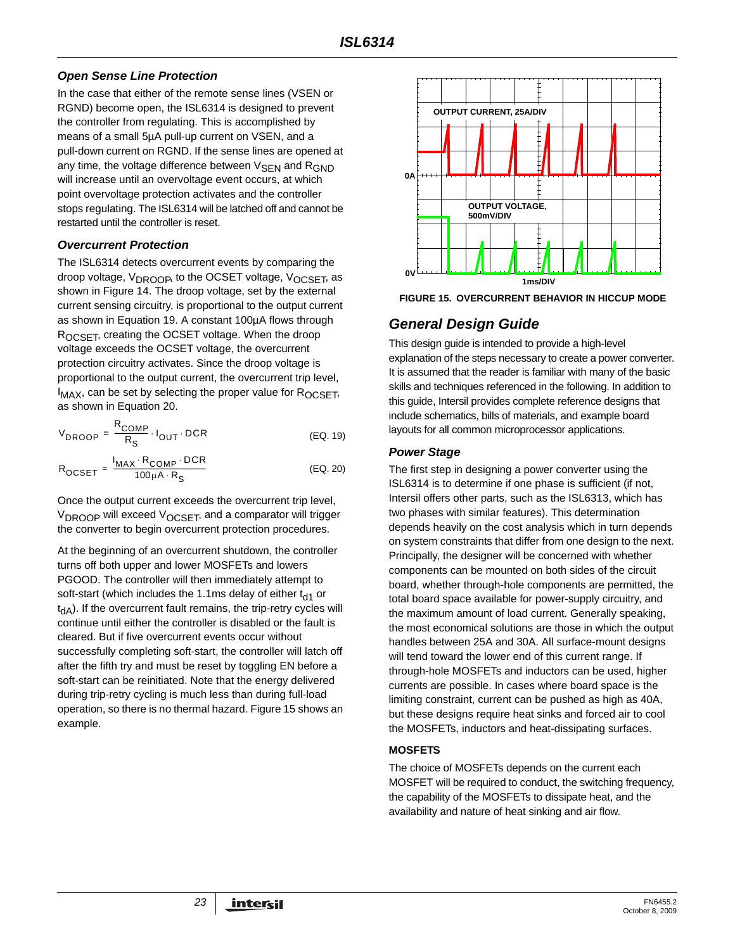#### *Open Sense Line Protection*

In the case that either of the remote sense lines (VSEN or RGND) become open, the ISL6314 is designed to prevent the controller from regulating. This is accomplished by means of a small 5µA pull-up current on VSEN, and a pull-down current on RGND. If the sense lines are opened at any time, the voltage difference between  $V_{\text{SFN}}$  and  $R_{\text{GND}}$ will increase until an overvoltage event occurs, at which point overvoltage protection activates and the controller stops regulating. The ISL6314 will be latched off and cannot be restarted until the controller is reset.

#### *Overcurrent Protection*

The ISL6314 detects overcurrent events by comparing the droop voltage, V<sub>DROOP</sub>, to the OCSET voltage, V<sub>OCSET</sub>, as shown in Figure [14.](#page-21-0) The droop voltage, set by the external current sensing circuitry, is proportional to the output current as shown in Equation [19.](#page-22-1) A constant 100µA flows through ROCSET, creating the OCSET voltage. When the droop voltage exceeds the OCSET voltage, the overcurrent protection circuitry activates. Since the droop voltage is proportional to the output current, the overcurrent trip level,  $I_{MAX}$ , can be set by selecting the proper value for  $R_{OCSFT}$ , as shown in Equation [20.](#page-22-2)

$$
V_{DROOP} = \frac{R_{COMP}}{R_S} \cdot I_{OUT} \cdot DCR
$$
 (EQ. 19)

$$
R_{OCSET} = \frac{I_{MAX} \cdot R_{COMP} \cdot DCR}{100 \mu A \cdot R_S}
$$
 (EQ. 20)

Once the output current exceeds the overcurrent trip level, V<sub>DROOP</sub> will exceed V<sub>OCSET</sub>, and a comparator will trigger the converter to begin overcurrent protection procedures.

At the beginning of an overcurrent shutdown, the controller turns off both upper and lower MOSFETs and lowers PGOOD. The controller will then immediately attempt to soft-start (which includes the 1.1ms delay of either  $t_{d1}$  or  $t_{dA}$ ). If the overcurrent fault remains, the trip-retry cycles will continue until either the controller is disabled or the fault is cleared. But if five overcurrent events occur without successfully completing soft-start, the controller will latch off after the fifth try and must be reset by toggling EN before a soft-start can be reinitiated. Note that the energy delivered during trip-retry cycling is much less than during full-load operation, so there is no thermal hazard. Figure [15](#page-22-0) shows an example.



<span id="page-22-0"></span>**FIGURE 15. OVERCURRENT BEHAVIOR IN HICCUP MODE**

# *General Design Guide*

This design guide is intended to provide a high-level explanation of the steps necessary to create a power converter. It is assumed that the reader is familiar with many of the basic skills and techniques referenced in the following. In addition to this guide, Intersil provides complete reference designs that include schematics, bills of materials, and example board layouts for all common microprocessor applications.

## <span id="page-22-1"></span>*Power Stage*

<span id="page-22-2"></span>The first step in designing a power converter using the ISL6314 is to determine if one phase is sufficient (if not, Intersil offers other parts, such as the ISL6313, which has two phases with similar features). This determination depends heavily on the cost analysis which in turn depends on system constraints that differ from one design to the next. Principally, the designer will be concerned with whether components can be mounted on both sides of the circuit board, whether through-hole components are permitted, the total board space available for power-supply circuitry, and the maximum amount of load current. Generally speaking, the most economical solutions are those in which the output handles between 25A and 30A. All surface-mount designs will tend toward the lower end of this current range. If through-hole MOSFETs and inductors can be used, higher currents are possible. In cases where board space is the limiting constraint, current can be pushed as high as 40A, but these designs require heat sinks and forced air to cool the MOSFETs, inductors and heat-dissipating surfaces.

## <span id="page-22-3"></span>**MOSFETS**

The choice of MOSFETs depends on the current each MOSFET will be required to conduct, the switching frequency, the capability of the MOSFETs to dissipate heat, and the availability and nature of heat sinking and air flow.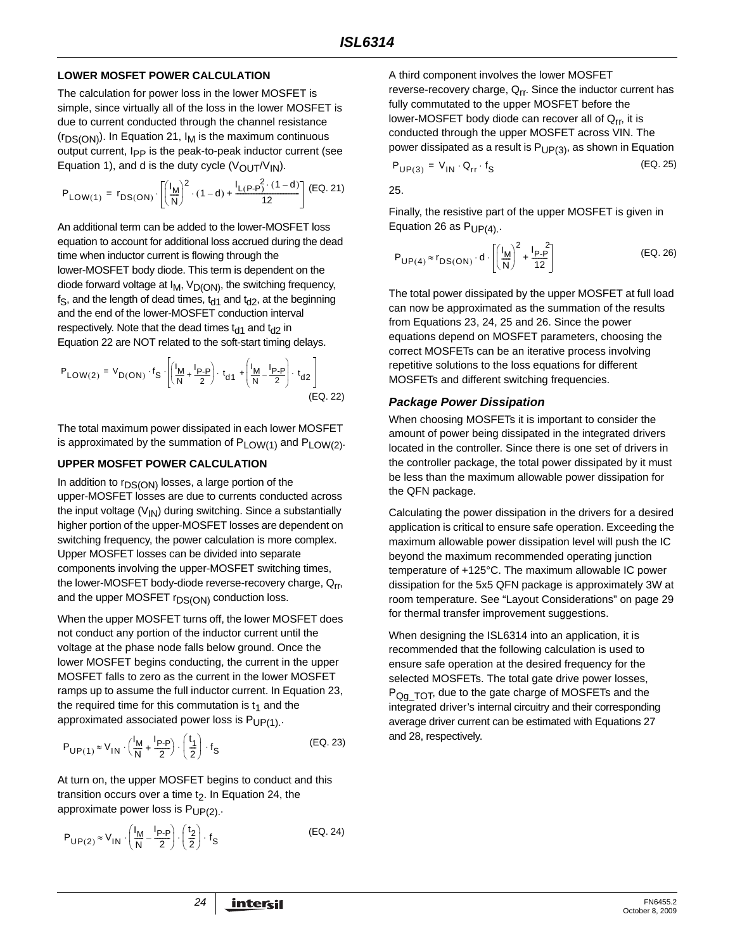#### **LOWER MOSFET POWER CALCULATION**

The calculation for power loss in the lower MOSFET is simple, since virtually all of the loss in the lower MOSFET is due to current conducted through the channel resistance  $(r_{DS(ON)})$ . In Equation [21,](#page-23-0)  $I_M$  is the maximum continuous output current, I<sub>PP</sub> is the peak-to-peak inductor current (see Equation [1\)](#page-9-2), and d is the duty cycle  $(V_{\text{OUT}}/V_{\text{IN}})$ .

$$
P_{LOW(1)} = r_{DS(ON)} \cdot \left[ \left( \frac{I_M}{N} \right)^2 \cdot (1-d) + \frac{I_{L(P-P)}^2 \cdot (1-d)}{12} \right] \text{ (EQ. 21)}
$$

An additional term can be added to the lower-MOSFET loss equation to account for additional loss accrued during the dead time when inductor current is flowing through the lower-MOSFET body diode. This term is dependent on the diode forward voltage at  $I_M$ ,  $V_{D(ON)}$ , the switching frequency,  $f_S$ , and the length of dead times,  $t_{d1}$  and  $t_{d2}$ , at the beginning and the end of the lower-MOSFET conduction interval respectively. Note that the dead times  $t_{d1}$  and  $t_{d2}$  in Equation [22](#page-23-5) are NOT related to the soft-start timing delays.

P<sub>LOW(2)</sub> = V<sub>D(ON)</sub> · f<sub>S</sub> 
$$
\cdot \left[ \left( \frac{I_M}{N} + \frac{I_{P-P}}{2} \right) \cdot t_{d1} + \left( \frac{I_M}{N} - \frac{I_{P-P}}{2} \right) \cdot t_{d2} \right]
$$
 (Eq. 22)

The total maximum power dissipated in each lower MOSFET is approximated by the summation of  $P_{LOW(1)}$  and  $P_{LOW(2)}$ .

#### **UPPER MOSFET POWER CALCULATION**

In addition to  $r_{DS(ON)}$  losses, a large portion of the upper-MOSFET losses are due to currents conducted across the input voltage  $(V_{1N})$  during switching. Since a substantially higher portion of the upper-MOSFET losses are dependent on switching frequency, the power calculation is more complex. Upper MOSFET losses can be divided into separate components involving the upper-MOSFET switching times, the lower-MOSFET body-diode reverse-recovery charge, Qrr, and the upper MOSFET  $r_{DS(ON)}$  conduction loss.

When the upper MOSFET turns off, the lower MOSFET does not conduct any portion of the inductor current until the voltage at the phase node falls below ground. Once the lower MOSFET begins conducting, the current in the upper MOSFET falls to zero as the current in the lower MOSFET ramps up to assume the full inductor current. In Equation [23](#page-23-1), the required time for this commutation is  $t_1$  and the approximated associated power loss is  $P_{UP(1)}$ .

$$
P_{\mathsf{UP}(1)} \approx V_{\mathsf{IN}} \cdot \left(\frac{I_{\mathsf{M}}}{\mathsf{N}} + \frac{I_{\mathsf{P}}}{2}\right) \cdot \left(\frac{t_1}{2}\right) \cdot f_{\mathsf{S}} \tag{Eq. 23}
$$

At turn on, the upper MOSFET begins to conduct and this transition occurs over a time  $t<sub>2</sub>$ . In Equation [24,](#page-23-2) the approximate power loss is  $P_{UP(2)}$ .

$$
P_{UP(2)} \approx V_{1N} \cdot \left(\frac{I_M}{N} - \frac{I_{P-P}}{2}\right) \cdot \left(\frac{t_2}{2}\right) \cdot f_S
$$
 (EQ. 24)

A third component involves the lower MOSFET reverse-recovery charge,  $Q_{rr}$ . Since the inductor current has fully commutated to the upper MOSFET before the lower-MOSFET body diode can recover all of  $Q_{rr}$ , it is conducted through the upper MOSFET across VIN. The power dissipated as a result is  $P_{UP(3)}$ , as shown in Equation

<span id="page-23-4"></span>
$$
P_{UP(3)} = V_{IN} \cdot Q_{rr} \cdot f_S
$$
 (EQ. 25)

<span id="page-23-0"></span>[25](#page-23-4).

Finally, the resistive part of the upper MOSFET is given in Equation [26](#page-23-3) as  $P_{UPI(4)}$ .

<span id="page-23-3"></span>
$$
P_{UP(4)} \approx r_{DS(ON)} \cdot d \cdot \left[ \left( \frac{I_M}{N} \right)^2 + \frac{I_{P-P}}{12} \right]
$$
 (EQ. 26)

The total power dissipated by the upper MOSFET at full load can now be approximated as the summation of the results from Equations [23,](#page-23-1) [24,](#page-23-2) [25](#page-23-4) and [26.](#page-23-3) Since the power equations depend on MOSFET parameters, choosing the correct MOSFETs can be an iterative process involving repetitive solutions to the loss equations for different MOSFETs and different switching frequencies.

#### <span id="page-23-5"></span>*Package Power Dissipation*

When choosing MOSFETs it is important to consider the amount of power being dissipated in the integrated drivers located in the controller. Since there is one set of drivers in the controller package, the total power dissipated by it must be less than the maximum allowable power dissipation for the QFN package.

Calculating the power dissipation in the drivers for a desired application is critical to ensure safe operation. Exceeding the maximum allowable power dissipation level will push the IC beyond the maximum recommended operating junction temperature of +125°C. The maximum allowable IC power dissipation for the 5x5 QFN package is approximately 3W at room temperature. See ["Layout Considerations" on page 29](#page-28-1)  for thermal transfer improvement suggestions.

<span id="page-23-2"></span><span id="page-23-1"></span>When designing the ISL6314 into an application, it is recommended that the following calculation is used to ensure safe operation at the desired frequency for the selected MOSFETs. The total gate drive power losses, P<sub>Qq</sub> T<sub>OT</sub>, due to the gate charge of MOSFETs and the integrated driver's internal circuitry and their corresponding average driver current can be estimated with Equations [27](#page-24-0) and [28](#page-24-1), respectively.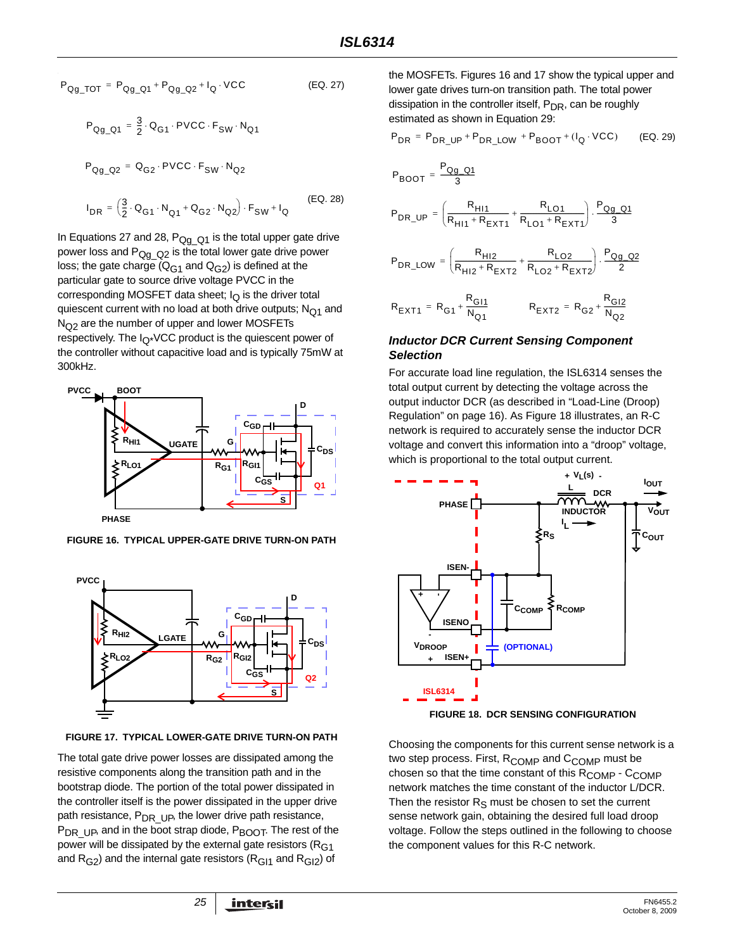$$
P_{Qg\_TOT} = P_{Qg\_Q1} + P_{Qg\_Q2} + I_Q \cdot VCC
$$
 (EQ. 27)  

$$
P_{Qg\_Q1} = \frac{3}{2} \cdot Q_{G1} \cdot PVCC \cdot F_{SW} \cdot N_{Q1}
$$

 $P_{Qq\ Q2} = Q_{G2} \cdot \text{PVCC} \cdot F_{SW} \cdot N_{Q2}$ 

$$
I_{DR} = \left(\frac{3}{2} \cdot \mathbf{Q}_{G1} \cdot \mathbf{N}_{Q1} + \mathbf{Q}_{G2} \cdot \mathbf{N}_{Q2}\right) \cdot F_{SW} + I_Q
$$
 (EQ. 28)

In Equations [27](#page-24-0) and [28](#page-24-1),  $P_{Qq_Q}$ <sub>21</sub> is the total upper gate drive power loss and  $P_{Qg_{Q}Q2}$  is the total lower gate drive power loss; the gate charge  $(Q_{G1}$  and  $Q_{G2})$  is defined at the particular gate to source drive voltage PVCC in the corresponding MOSFET data sheet;  $I_Q$  is the driver total quiescent current with no load at both drive outputs;  $N<sub>O1</sub>$  and  $N<sub>O2</sub>$  are the number of upper and lower MOSFETs respectively. The  $I_{\Omega^*}$ VCC product is the quiescent power of the controller without capacitive load and is typically 75mW at 300kHz.



<span id="page-24-3"></span>**FIGURE 16. TYPICAL UPPER-GATE DRIVE TURN-ON PATH**



<span id="page-24-4"></span>**FIGURE 17. TYPICAL LOWER-GATE DRIVE TURN-ON PATH**

The total gate drive power losses are dissipated among the resistive components along the transition path and in the bootstrap diode. The portion of the total power dissipated in the controller itself is the power dissipated in the upper drive path resistance,  $P_{DR}$  Up, the lower drive path resistance, P<sub>DR UP</sub>, and in the boot strap diode, P<sub>BOOT</sub>. The rest of the power will be dissipated by the external gate resistors ( $R<sub>G1</sub>$ and  $R<sub>G2</sub>$ ) and the internal gate resistors ( $R<sub>G11</sub>$  and  $R<sub>G12</sub>$ ) of

<span id="page-24-0"></span>the MOSFETs. Figures [16](#page-24-3) and [17](#page-24-4) show the typical upper and lower gate drives turn-on transition path. The total power dissipation in the controller itself, P<sub>DR</sub>, can be roughly estimated as shown in Equation [29](#page-24-2):

<span id="page-24-2"></span>
$$
P_{DR} = P_{DR\_UP} + P_{DR\_LOW} + P_{BOOT} + (I_Q \cdot VCC)
$$
 (EQ. 29)

<span id="page-24-1"></span>
$$
P_{BOOT} = \frac{P_{Qg\_Q1}}{3}
$$
\n
$$
P_{DR\_UP} = \left(\frac{R_{H11}}{R_{H11} + R_{EXT1}} + \frac{R_{LO1}}{R_{LO1} + R_{EXT1}}\right) \cdot \frac{P_{Qg\_Q1}}{3}
$$
\n
$$
P_{DR\_LOW} = \left(\frac{R_{H12}}{R_{H12} + R_{EXT2}} + \frac{R_{LO2}}{R_{LO2} + R_{EXT2}}\right) \cdot \frac{P_{Qg\_Q2}}{2}
$$
\n
$$
R_{EXT1} = R_{G1} + \frac{R_{G11}}{N_{Q1}} \qquad R_{EXT2} = R_{G2} + \frac{R_{G12}}{N_{Q2}}
$$

#### *Inductor DCR Current Sensing Component Selection*

For accurate load line regulation, the ISL6314 senses the total output current by detecting the voltage across the output inductor DCR (as described in ["Load-Line \(Droop\)](#page-15-4)  [Regulation" on page 16](#page-15-4)). As Figure [18](#page-24-5) illustrates, an R-C network is required to accurately sense the inductor DCR voltage and convert this information into a "droop" voltage, which is proportional to the total output current.



<span id="page-24-5"></span>Choosing the components for this current sense network is a two step process. First,  $R_{\text{COMP}}$  and  $C_{\text{COMP}}$  must be chosen so that the time constant of this  $R_{\text{COMP}}$  -  $C_{\text{COMP}}$ network matches the time constant of the inductor L/DCR. Then the resistor  $R<sub>S</sub>$  must be chosen to set the current sense network gain, obtaining the desired full load droop voltage. Follow the steps outlined in the following to choose the component values for this R-C network.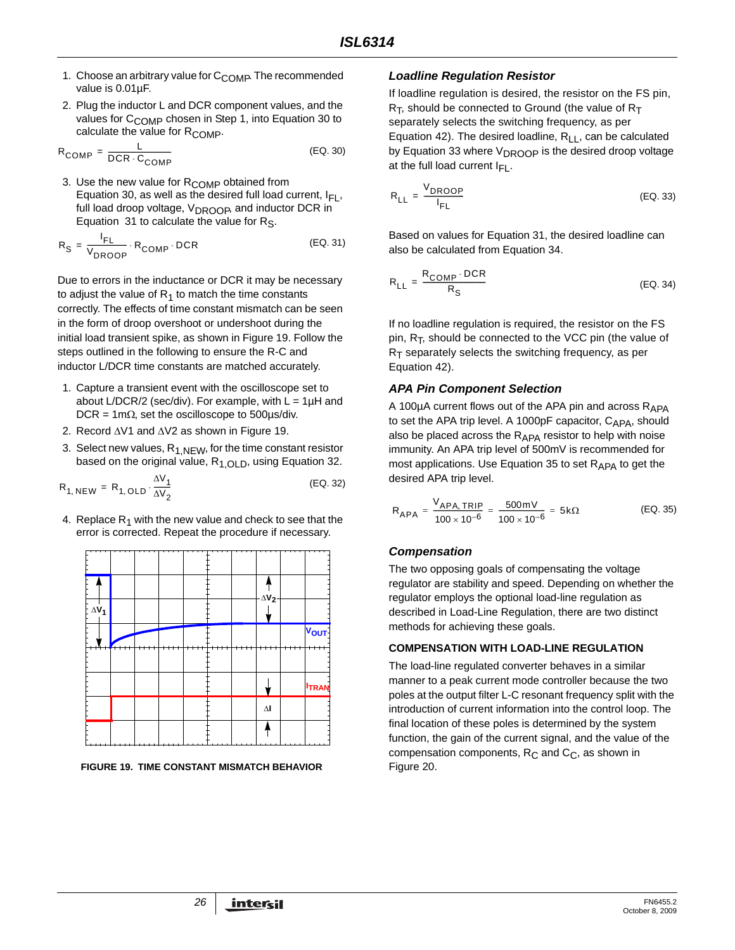- 1. Choose an arbitrary value for  $C_{\text{COMP}}$ . The recommended value is 0.01µF.
- 2. Plug the inductor L and DCR component values, and the values for C<sub>COMP</sub> chosen in Step 1, into Equation [30](#page-25-1) to calculate the value for  $R_{\text{COMP}}$ .

$$
R_{\text{COMP}} = \frac{L}{\text{DCR} \cdot C_{\text{COMP}}}
$$
 (EQ. 30)

3. Use the new value for R<sub>COMP</sub> obtained from Equation [30,](#page-25-1) as well as the desired full load current,  $I_{FI}$ , full load droop voltage, V<sub>DROOP</sub>, and inductor DCR in Equation [31](#page-25-2) to calculate the value for  $R<sub>S</sub>$ .

$$
R_{\rm S} = \frac{I_{\rm FL}}{V_{\rm DROOP}} \cdot R_{\rm COMP} \cdot \text{DCR}
$$
 (EQ. 31)

Due to errors in the inductance or DCR it may be necessary to adjust the value of  $R_1$  to match the time constants correctly. The effects of time constant mismatch can be seen in the form of droop overshoot or undershoot during the initial load transient spike, as shown in Figure [19.](#page-25-0) Follow the steps outlined in the following to ensure the R-C and inductor L/DCR time constants are matched accurately.

- 1. Capture a transient event with the oscilloscope set to about L/DCR/2 (sec/div). For example, with  $L = 1\mu H$  and DCR = 1m $\Omega$ , set the oscilloscope to 500 $\mu$ s/div.
- 2. Record ΔV1 and ΔV2 as shown in Figure [19](#page-25-0).
- 3. Select new values,  $R_{1,NEW}$ , for the time constant resistor based on the original value,  $R_{1,OLD}$ , using Equation [32.](#page-25-3)

$$
R_{1, NEW} = R_{1, OLD} \cdot \frac{\Delta V_1}{\Delta V_2}
$$
 (EQ. 32)

4. Replace  $R_1$  with the new value and check to see that the error is corrected. Repeat the procedure if necessary.



<span id="page-25-0"></span>**FIGURE 19. TIME CONSTANT MISMATCH BEHAVIOR**

#### *Loadline Regulation Resistor*

If loadline regulation is desired, the resistor on the FS pin,  $R_T$ , should be connected to Ground (the value of  $R_T$ separately selects the switching frequency, as per Equation [42\)](#page-28-0). The desired loadline,  $R_{LL}$ , can be calculated by Equation [33](#page-25-5) where V<sub>DROOP</sub> is the desired droop voltage at the full load current  $I_{FI}$ .

<span id="page-25-5"></span><span id="page-25-1"></span>
$$
R_{LL} = \frac{V_{DROOP}}{I_{FL}}
$$
 (EQ. 33)

<span id="page-25-2"></span>Based on values for Equation [31,](#page-25-2) the desired loadline can also be calculated from Equation [34.](#page-25-4)

<span id="page-25-4"></span>
$$
R_{LL} = \frac{R_{COMP} \cdot DCR}{R_S}
$$
 (EQ. 34)

If no loadline regulation is required, the resistor on the FS pin,  $R_T$ , should be connected to the VCC pin (the value of  $R<sub>T</sub>$  separately selects the switching frequency, as per Equation [42\)](#page-28-0).

## *APA Pin Component Selection*

A 100 $\mu$ A current flows out of the APA pin and across  $R_{APA}$ to set the APA trip level. A 1000pF capacitor, C<sub>APA</sub>, should also be placed across the RAPA resistor to help with noise immunity. An APA trip level of 500mV is recommended for most applications. Use Equation [35](#page-25-6) to set  $R_{APA}$  to get the desired APA trip level.

<span id="page-25-6"></span><span id="page-25-3"></span>
$$
R_{APA} = \frac{V_{APA, TRIP}}{100 \times 10^{-6}} = \frac{500 \text{ mV}}{100 \times 10^{-6}} = 5 \text{k}\Omega
$$
 (EQ. 35)

## *Compensation*

The two opposing goals of compensating the voltage regulator are stability and speed. Depending on whether the regulator employs the optional load-line regulation as described in Load-Line Regulation, there are two distinct methods for achieving these goals.

#### **COMPENSATION WITH LOAD-LINE REGULATION**

The load-line regulated converter behaves in a similar manner to a peak current mode controller because the two poles at the output filter L-C resonant frequency split with the introduction of current information into the control loop. The final location of these poles is determined by the system function, the gain of the current signal, and the value of the compensation components,  $R_C$  and  $C_C$ , as shown in Figure [20.](#page-26-0)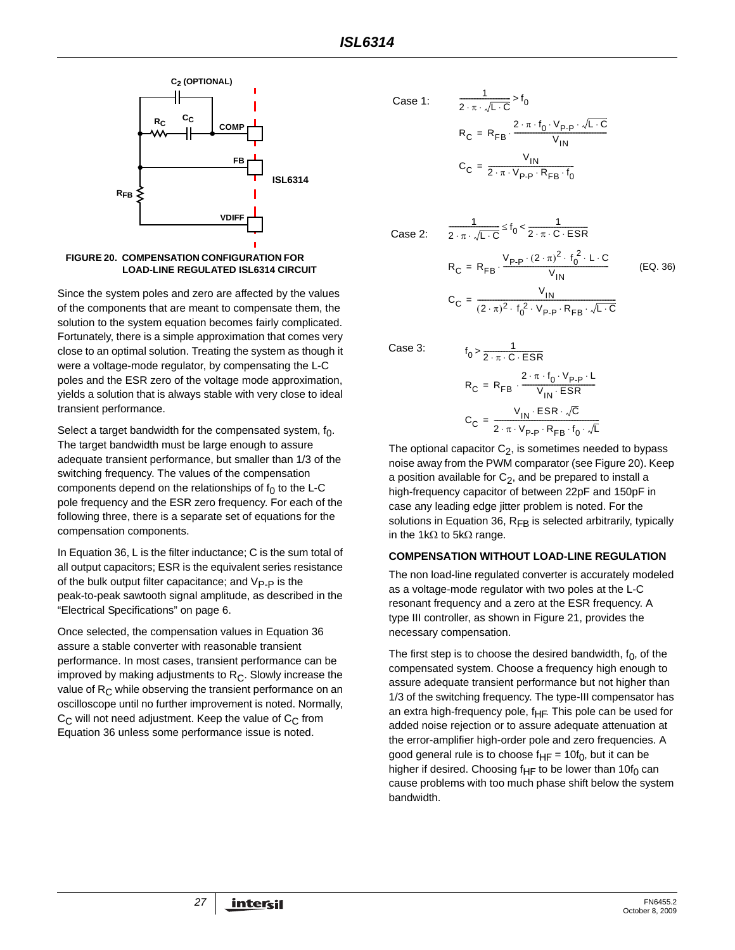

<span id="page-26-0"></span>

Since the system poles and zero are affected by the values of the components that are meant to compensate them, the solution to the system equation becomes fairly complicated. Fortunately, there is a simple approximation that comes very close to an optimal solution. Treating the system as though it were a voltage-mode regulator, by compensating the L-C poles and the ESR zero of the voltage mode approximation, yields a solution that is always stable with very close to ideal transient performance.

Select a target bandwidth for the compensated system,  $f_0$ . The target bandwidth must be large enough to assure adequate transient performance, but smaller than 1/3 of the switching frequency. The values of the compensation components depend on the relationships of  $f_0$  to the L-C pole frequency and the ESR zero frequency. For each of the following three, there is a separate set of equations for the compensation components.

In Equation [36](#page-26-1), L is the filter inductance; C is the sum total of all output capacitors; ESR is the equivalent series resistance of the bulk output filter capacitance; and  $V_{\text{P}-\text{P}}$  is the peak-to-peak sawtooth signal amplitude, as described in the "Electrical Specifications" on [page 6](#page-5-2).

Once selected, the compensation values in Equation [36](#page-26-1)  assure a stable converter with reasonable transient performance. In most cases, transient performance can be improved by making adjustments to  $R<sub>C</sub>$ . Slowly increase the value of  $R<sub>C</sub>$  while observing the transient performance on an oscilloscope until no further improvement is noted. Normally,  $C_{\text{C}}$  will not need adjustment. Keep the value of  $C_{\text{C}}$  from Equation [36](#page-26-1) unless some performance issue is noted.

Case 1: 
$$
\frac{1}{2 \cdot \pi \cdot \sqrt{L \cdot C}} > f_0
$$

$$
R_C = R_{FB} \cdot \frac{2 \cdot \pi \cdot f_0 \cdot V_{P-P} \cdot \sqrt{L \cdot C}}{V_{IN}}
$$

$$
C_C = \frac{V_{IN}}{2 \cdot \pi \cdot V_{P-P} \cdot R_{FB} \cdot f_0}
$$

 $\frac{1}{2 \cdot \pi \cdot \sqrt{L \cdot C}} \leq f_0 < \frac{1}{2 \cdot \pi \cdot C \cdot ESR}$ 

Case 2:

<span id="page-26-1"></span>
$$
R_{C} = R_{FB} \cdot \frac{V_{p.p} \cdot (2 \cdot \pi)^{2} \cdot f_{0}^{2} \cdot L \cdot C}{V_{IN}}
$$
\n
$$
C_{C} = \frac{V_{IN}}{(2 \cdot \pi)^{2} \cdot f_{0}^{2} \cdot V_{p.p} \cdot R_{FB} \cdot \sqrt{L \cdot C}}
$$
\n(EQ. 36)

Case 3:

$$
f_0 > \frac{1}{2 \cdot \pi \cdot C \cdot ESR}
$$
  
\n
$$
R_C = R_{FB} \cdot \frac{2 \cdot \pi \cdot f_0 \cdot V_{P\cdot P} \cdot L}{V_{IN} \cdot ESR}
$$
  
\n
$$
C_C = \frac{V_{IN} \cdot ESR \cdot \sqrt{C}}{2 \cdot \pi \cdot V_{P\cdot P} \cdot R_{FB} \cdot f_0 \cdot \sqrt{L}}
$$

The optional capacitor  $C_2$ , is sometimes needed to bypass noise away from the PWM comparator (see Figure [20](#page-26-0)). Keep a position available for  $C_2$ , and be prepared to install a high-frequency capacitor of between 22pF and 150pF in case any leading edge jitter problem is noted. For the solutions in Equation [36](#page-26-1),  $R_{FB}$  is selected arbitrarily, typically in the 1kΩ to 5kΩ range.

#### **COMPENSATION WITHOUT LOAD-LINE REGULATION**

The non load-line regulated converter is accurately modeled as a voltage-mode regulator with two poles at the L-C resonant frequency and a zero at the ESR frequency. A type III controller, as shown in Figure [21,](#page-27-0) provides the necessary compensation.

The first step is to choose the desired bandwidth,  $f_0$ , of the compensated system. Choose a frequency high enough to assure adequate transient performance but not higher than 1/3 of the switching frequency. The type-III compensator has an extra high-frequency pole,  $f_{HF}$ . This pole can be used for added noise rejection or to assure adequate attenuation at the error-amplifier high-order pole and zero frequencies. A good general rule is to choose  $f_{HF} = 10f_0$ , but it can be higher if desired. Choosing f<sub>HF</sub> to be lower than 10f<sub>0</sub> can cause problems with too much phase shift below the system bandwidth.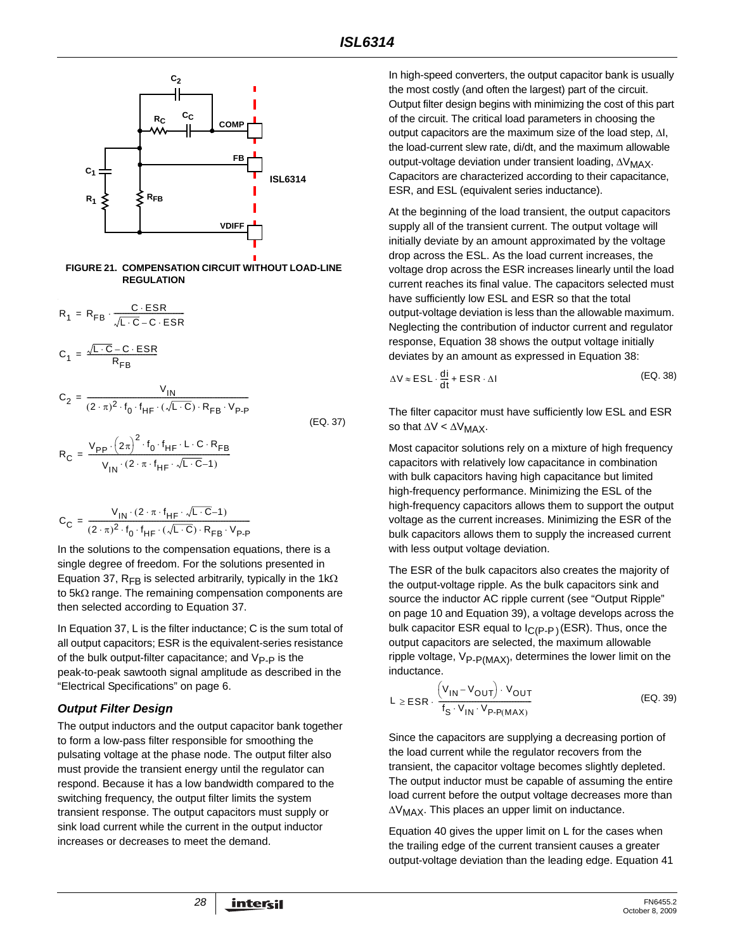

#### <span id="page-27-0"></span>**FIGURE 21. COMPENSATION CIRCUIT WITHOUT LOAD-LINE REGULATION**

$$
R_1 = R_{FB} \cdot \frac{C \cdot ESR}{\sqrt{L \cdot C} - C \cdot ESR}
$$

$$
C_1 = \frac{\sqrt{L \cdot C} - C \cdot ESR}{R_{FB}}
$$

$$
C_2 = \frac{V_{IN}}{(2 \cdot \pi)^2 \cdot f_0 \cdot f_{HF} \cdot (\sqrt{L \cdot C}) \cdot R_{FB} \cdot V_{P\cdot P}}
$$
\n(EQ. 37)

$$
R_C = \frac{V_{PP} \cdot (2\pi)^2 \cdot f_0 \cdot f_{HF} \cdot L \cdot C \cdot R_{FB}}{V_{IN} \cdot (2 \cdot \pi \cdot f_{HF} \cdot \sqrt{L \cdot C} - 1)}
$$

$$
C_C = \frac{V_{IN} \cdot (2 \cdot \pi \cdot f_{HF} \cdot \sqrt{L \cdot C} - 1)}{(2 \cdot \pi)^2 \cdot f_0 \cdot f_{HF} \cdot (\sqrt{L \cdot C}) \cdot R_{FB} \cdot V_{P\cdot P}}
$$

In the solutions to the compensation equations, there is a single degree of freedom. For the solutions presented in Equation [37](#page-27-2), R<sub>FB</sub> is selected arbitrarily, typically in the 1kΩ to 5kΩ range. The remaining compensation components are then selected according to Equation [37](#page-27-2).

In Equation [37](#page-27-2), L is the filter inductance; C is the sum total of all output capacitors; ESR is the equivalent-series resistance of the bulk output-filter capacitance; and  $V_{\text{P-P}}$  is the peak-to-peak sawtooth signal amplitude as described in the "Electrical Specifications" on [page 6](#page-5-2).

## *Output Filter Design*

The output inductors and the output capacitor bank together to form a low-pass filter responsible for smoothing the pulsating voltage at the phase node. The output filter also must provide the transient energy until the regulator can respond. Because it has a low bandwidth compared to the switching frequency, the output filter limits the system transient response. The output capacitors must supply or sink load current while the current in the output inductor increases or decreases to meet the demand.

In high-speed converters, the output capacitor bank is usually the most costly (and often the largest) part of the circuit. Output filter design begins with minimizing the cost of this part of the circuit. The critical load parameters in choosing the output capacitors are the maximum size of the load step, ΔI, the load-current slew rate, di/dt, and the maximum allowable output-voltage deviation under transient loading, ΔV<sub>MAX</sub>. Capacitors are characterized according to their capacitance, ESR, and ESL (equivalent series inductance).

At the beginning of the load transient, the output capacitors supply all of the transient current. The output voltage will initially deviate by an amount approximated by the voltage drop across the ESL. As the load current increases, the voltage drop across the ESR increases linearly until the load current reaches its final value. The capacitors selected must have sufficiently low ESL and ESR so that the total output-voltage deviation is less than the allowable maximum. Neglecting the contribution of inductor current and regulator response, Equation [38](#page-27-3) shows the output voltage initially deviates by an amount as expressed in Equation [38](#page-27-3):

<span id="page-27-3"></span>
$$
\Delta V \approx ESL \cdot \frac{di}{dt} + ESR \cdot \Delta I
$$
 (EQ. 38)

<span id="page-27-2"></span>The filter capacitor must have sufficiently low ESL and ESR so that  $\Delta V < \Delta V_{MAX}$ .

Most capacitor solutions rely on a mixture of high frequency capacitors with relatively low capacitance in combination with bulk capacitors having high capacitance but limited high-frequency performance. Minimizing the ESL of the high-frequency capacitors allows them to support the output voltage as the current increases. Minimizing the ESR of the bulk capacitors allows them to supply the increased current with less output voltage deviation.

The ESR of the bulk capacitors also creates the majority of the output-voltage ripple. As the bulk capacitors sink and source the inductor AC ripple current (see ["Output Ripple"](#page-9-3)  [on page 10](#page-9-3) and Equation [39](#page-27-1)), a voltage develops across the bulk capacitor ESR equal to  $I_{C(P-P)}(ESR)$ . Thus, once the output capacitors are selected, the maximum allowable ripple voltage,  $V_{P- P(MAX)}$ , determines the lower limit on the inductance.

<span id="page-27-1"></span>
$$
L \ge ESR \cdot \frac{\left(V_{IN} - V_{OUT}\right) \cdot V_{OUT}}{f_S \cdot V_{IN} \cdot V_{P\cdot P(MAX)}}
$$
\n(EQ. 39)

Since the capacitors are supplying a decreasing portion of the load current while the regulator recovers from the transient, the capacitor voltage becomes slightly depleted. The output inductor must be capable of assuming the entire load current before the output voltage decreases more than  $\Delta V_{MAX}$ . This places an upper limit on inductance.

Equation [40](#page-28-2) gives the upper limit on L for the cases when the trailing edge of the current transient causes a greater output-voltage deviation than the leading edge. Equation [41](#page-28-3)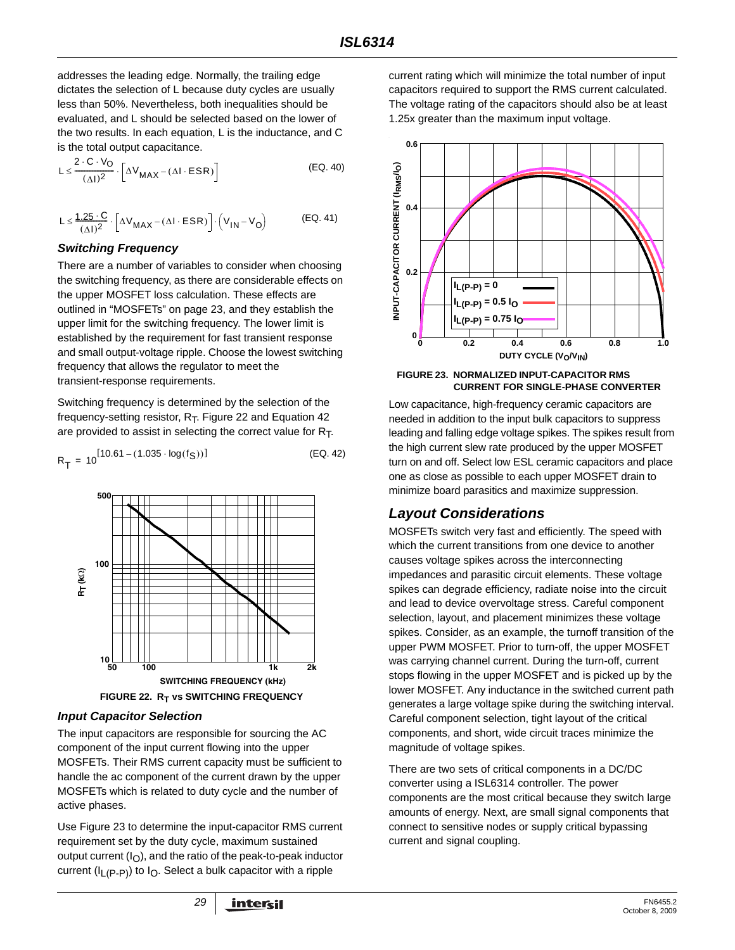addresses the leading edge. Normally, the trailing edge dictates the selection of L because duty cycles are usually less than 50%. Nevertheless, both inequalities should be evaluated, and L should be selected based on the lower of the two results. In each equation, L is the inductance, and C is the total output capacitance.

$$
L \leq \frac{2 \cdot C \cdot V_O}{(\Delta I)^2} \cdot \left[ \Delta V_{MAX} - (\Delta I \cdot ESR) \right]
$$
 (EQ. 40)

$$
L \leq \frac{1.25 \cdot C}{(\Delta I)^2} \cdot \left[ \Delta V_{MAX} - (\Delta I \cdot ESR) \right] \cdot \left( V_{IN} - V_O \right) \tag{EQ.41}
$$

#### *Switching Frequency*

There are a number of variables to consider when choosing the switching frequency, as there are considerable effects on the upper MOSFET loss calculation. These effects are outlined in ["MOSFETs" on page 23,](#page-22-3) and they establish the upper limit for the switching frequency. The lower limit is established by the requirement for fast transient response and small output-voltage ripple. Choose the lowest switching frequency that allows the regulator to meet the transient-response requirements.

Switching frequency is determined by the selection of the frequency-setting resistor,  $R_T$ . Figure [22](#page-28-4) and Equation 42 are provided to assist in selecting the correct value for  $R_T$ .

$$
R_{\overline{1}} = 10^{[10.61 - (1.035 \cdot \log(f_S))]}
$$
 (Eq. 42)



#### <span id="page-28-4"></span>*Input Capacitor Selection*

The input capacitors are responsible for sourcing the AC component of the input current flowing into the upper MOSFETs. Their RMS current capacity must be sufficient to handle the ac component of the current drawn by the upper MOSFETs which is related to duty cycle and the number of active phases.

Use Figure [23](#page-28-5) to determine the input-capacitor RMS current requirement set by the duty cycle, maximum sustained output current  $(I<sub>O</sub>)$ , and the ratio of the peak-to-peak inductor current ( $I_{L(P-P)}$ ) to  $I_{O}$ . Select a bulk capacitor with a ripple

current rating which will minimize the total number of input capacitors required to support the RMS current calculated. The voltage rating of the capacitors should also be at least 1.25x greater than the maximum input voltage.

<span id="page-28-3"></span><span id="page-28-2"></span>

#### <span id="page-28-5"></span>**FIGURE 23. NORMALIZED INPUT-CAPACITOR RMS CURRENT FOR SINGLE-PHASE CONVERTER**

<span id="page-28-0"></span>Low capacitance, high-frequency ceramic capacitors are needed in addition to the input bulk capacitors to suppress leading and falling edge voltage spikes. The spikes result from the high current slew rate produced by the upper MOSFET turn on and off. Select low ESL ceramic capacitors and place one as close as possible to each upper MOSFET drain to minimize board parasitics and maximize suppression.

# <span id="page-28-1"></span>*Layout Considerations*

MOSFETs switch very fast and efficiently. The speed with which the current transitions from one device to another causes voltage spikes across the interconnecting impedances and parasitic circuit elements. These voltage spikes can degrade efficiency, radiate noise into the circuit and lead to device overvoltage stress. Careful component selection, layout, and placement minimizes these voltage spikes. Consider, as an example, the turnoff transition of the upper PWM MOSFET. Prior to turn-off, the upper MOSFET was carrying channel current. During the turn-off, current stops flowing in the upper MOSFET and is picked up by the lower MOSFET. Any inductance in the switched current path generates a large voltage spike during the switching interval. Careful component selection, tight layout of the critical components, and short, wide circuit traces minimize the magnitude of voltage spikes.

There are two sets of critical components in a DC/DC converter using a ISL6314 controller. The power components are the most critical because they switch large amounts of energy. Next, are small signal components that connect to sensitive nodes or supply critical bypassing current and signal coupling.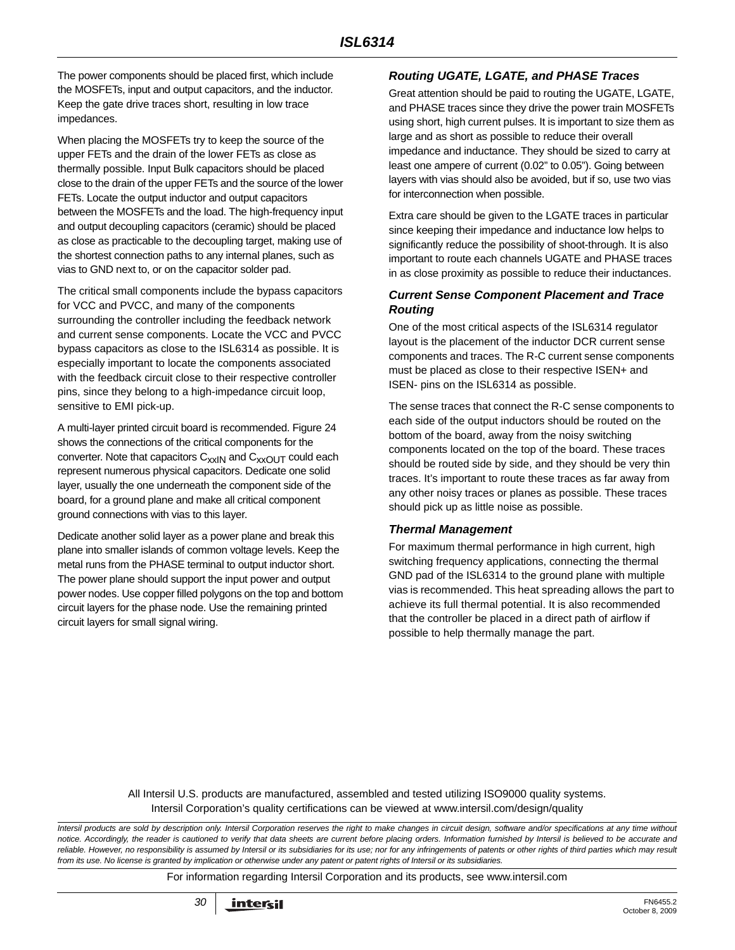The power components should be placed first, which include the MOSFETs, input and output capacitors, and the inductor. Keep the gate drive traces short, resulting in low trace impedances.

When placing the MOSFETs try to keep the source of the upper FETs and the drain of the lower FETs as close as thermally possible. Input Bulk capacitors should be placed close to the drain of the upper FETs and the source of the lower FETs. Locate the output inductor and output capacitors between the MOSFETs and the load. The high-frequency input and output decoupling capacitors (ceramic) should be placed as close as practicable to the decoupling target, making use of the shortest connection paths to any internal planes, such as vias to GND next to, or on the capacitor solder pad.

The critical small components include the bypass capacitors for VCC and PVCC, and many of the components surrounding the controller including the feedback network and current sense components. Locate the VCC and PVCC bypass capacitors as close to the ISL6314 as possible. It is especially important to locate the components associated with the feedback circuit close to their respective controller pins, since they belong to a high-impedance circuit loop, sensitive to EMI pick-up.

A multi-layer printed circuit board is recommended. Figure [24](#page-30-0) shows the connections of the critical components for the converter. Note that capacitors  $C_{xxIN}$  and  $C_{xxOUT}$  could each represent numerous physical capacitors. Dedicate one solid layer, usually the one underneath the component side of the board, for a ground plane and make all critical component ground connections with vias to this layer.

Dedicate another solid layer as a power plane and break this plane into smaller islands of common voltage levels. Keep the metal runs from the PHASE terminal to output inductor short. The power plane should support the input power and output power nodes. Use copper filled polygons on the top and bottom circuit layers for the phase node. Use the remaining printed circuit layers for small signal wiring.

#### *Routing UGATE, LGATE, and PHASE Traces*

Great attention should be paid to routing the UGATE, LGATE, and PHASE traces since they drive the power train MOSFETs using short, high current pulses. It is important to size them as large and as short as possible to reduce their overall impedance and inductance. They should be sized to carry at least one ampere of current (0.02" to 0.05"). Going between layers with vias should also be avoided, but if so, use two vias for interconnection when possible.

Extra care should be given to the LGATE traces in particular since keeping their impedance and inductance low helps to significantly reduce the possibility of shoot-through. It is also important to route each channels UGATE and PHASE traces in as close proximity as possible to reduce their inductances.

#### *Current Sense Component Placement and Trace Routing*

One of the most critical aspects of the ISL6314 regulator layout is the placement of the inductor DCR current sense components and traces. The R-C current sense components must be placed as close to their respective ISEN+ and ISEN- pins on the ISL6314 as possible.

The sense traces that connect the R-C sense components to each side of the output inductors should be routed on the bottom of the board, away from the noisy switching components located on the top of the board. These traces should be routed side by side, and they should be very thin traces. It's important to route these traces as far away from any other noisy traces or planes as possible. These traces should pick up as little noise as possible.

#### *Thermal Management*

For maximum thermal performance in high current, high switching frequency applications, connecting the thermal GND pad of the ISL6314 to the ground plane with multiple vias is recommended. This heat spreading allows the part to achieve its full thermal potential. It is also recommended that the controller be placed in a direct path of airflow if possible to help thermally manage the part.

All Intersil U.S. products are manufactured, assembled and tested utilizing ISO9000 quality systems. Intersil Corporation's quality certifications can be viewed at www.intersil.com/design/quality

*Intersil products are sold by description only. Intersil Corporation reserves the right to make changes in circuit design, software and/or specifications at any time without notice. Accordingly, the reader is cautioned to verify that data sheets are current before placing orders. Information furnished by Intersil is believed to be accurate and reliable. However, no responsibility is assumed by Intersil or its subsidiaries for its use; nor for any infringements of patents or other rights of third parties which may result from its use. No license is granted by implication or otherwise under any patent or patent rights of Intersil or its subsidiaries.*

For information regarding Intersil Corporation and its products, see www.intersil.com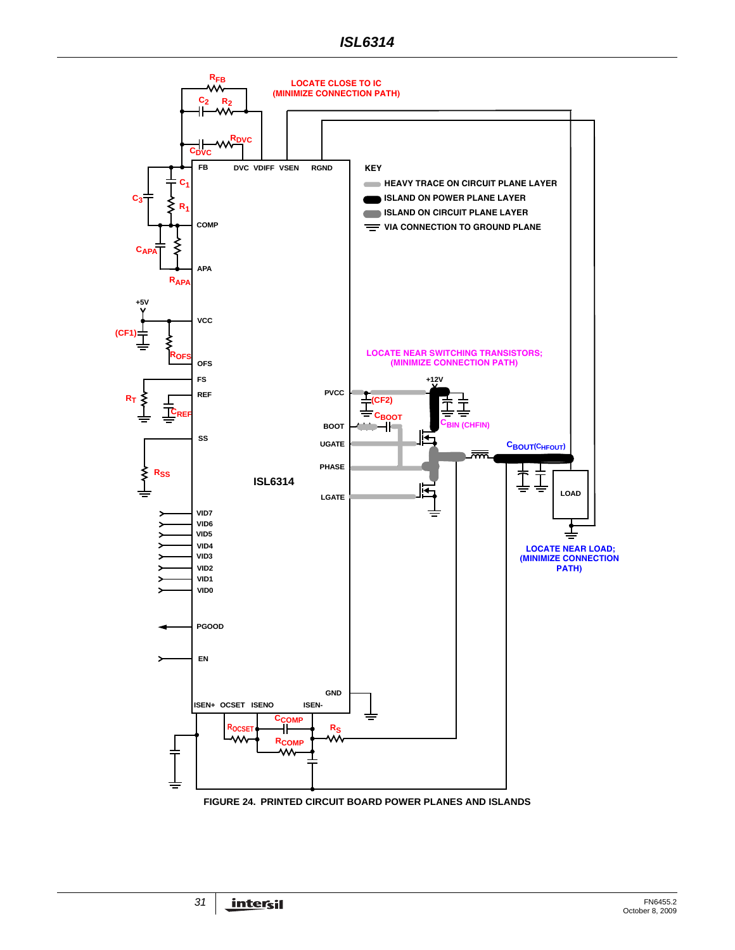

<span id="page-30-0"></span>**FIGURE 24. PRINTED CIRCUIT BOARD POWER PLANES AND ISLANDS**